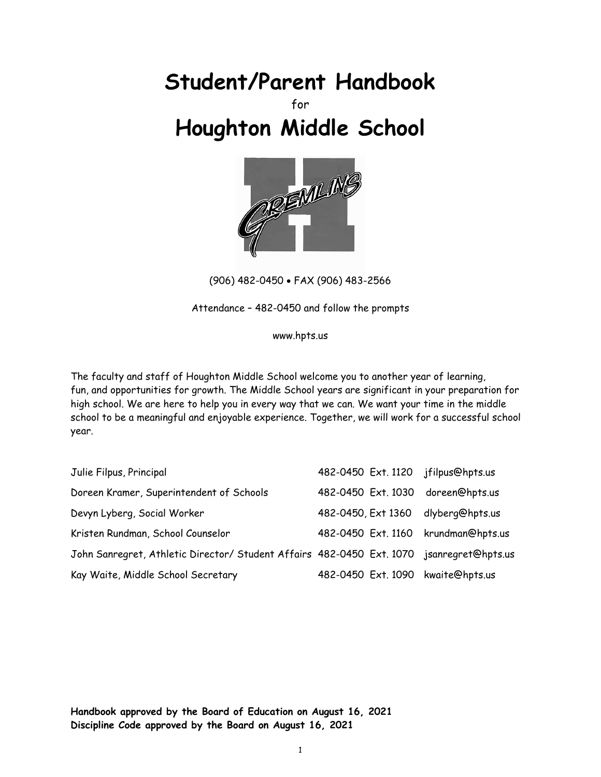# **Student/Parent Handbook**

## for **Houghton Middle School**



(906) 482-0450 FAX (906) 483-2566

Attendance – 482-0450 and follow the prompts

www.hpts.us

The faculty and staff of Houghton Middle School welcome you to another year of learning, fun, and opportunities for growth. The Middle School years are significant in your preparation for high school. We are here to help you in every way that we can. We want your time in the middle school to be a meaningful and enjoyable experience. Together, we will work for a successful school year.

| Julie Filpus, Principal                                                                  | 482-0450 Ext. 1120 jfilpus@hpts.us  |  |
|------------------------------------------------------------------------------------------|-------------------------------------|--|
| Doreen Kramer, Superintendent of Schools                                                 | 482-0450 Ext. 1030 doreen@hpts.us   |  |
| Devyn Lyberg, Social Worker                                                              | 482-0450, Ext 1360 dlyberg@hpts.us  |  |
| Kristen Rundman, School Counselor                                                        | 482-0450 Ext. 1160 krundman@hpts.us |  |
| John Sanregret, Athletic Director/ Student Affairs 482-0450 Ext. 1070 jsanregret@hpts.us |                                     |  |
| Kay Waite, Middle School Secretary                                                       | 482-0450 Ext. 1090 kwaite@hpts.us   |  |

**Handbook approved by the Board of Education on August 16, 2021 Discipline Code approved by the Board on August 16, 2021**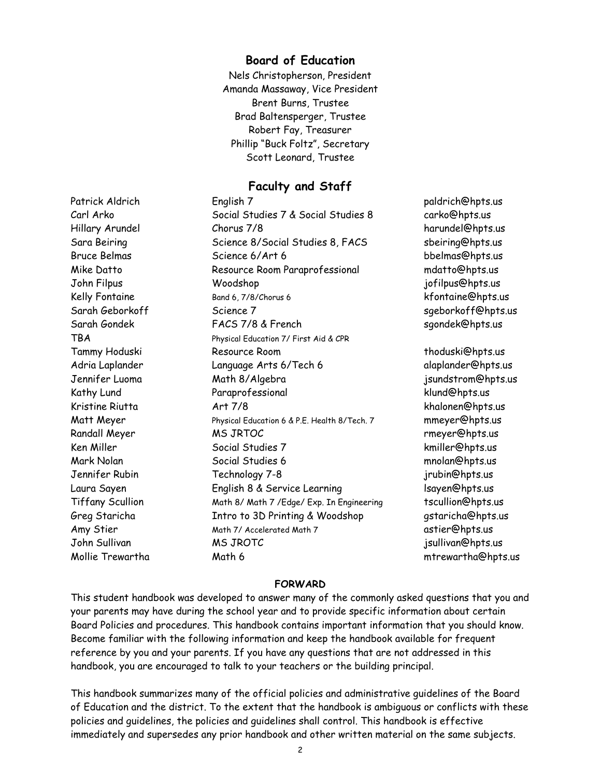## **Board of Education**

Nels Christopherson, President Amanda Massaway, Vice President Brent Burns, Trustee Brad Baltensperger, Trustee Robert Fay, Treasurer Phillip "Buck Foltz", Secretary Scott Leonard, Trustee

## **Faculty and Staff**

Patrick Aldrich **English 7 paldrich@hpts.us** Carl Arko Social Studies 7 & Social Studies 8 carko@hpts.us Hillary Arundel Chorus 7/8 harundel@hpts.us Sara Beiring Science 8/Social Studies 8, FACS sbeiring@hpts.us Bruce Belmas Science 6/Art 6 bbelmas@hpts.us Mike Datto Resource Room Paraprofessional mdatto@hpts.us John Filpus Woodshop jofilpus@hpts.us Kelly Fontaine **Band 6, 7/8/Chorus 6** kfontaine@hpts.us Sarah Geborkoff Science 7 sgeborkoff@hpts.us Sarah Gondek FACS 7/8 & French sgondek@hpts.us TBA Physical Education 7/ First Aid & CPR Tammy Hoduski Resource Room thoduski@hpts.us Adria Laplander Language Arts 6/Tech 6 alaplander@hpts.us Jennifer Luoma Math 8/Algebra jsundstrom@hpts.us Kathy Lund Paraprofessional klund@hpts.us Kristine Riutta Art 7/8 khalonen@hpts.us Matt Meyer **Physical Education 6 & P.E. Health 8/Tech. 7** mmeyer@hpts.us Randall Meyer **MS JRTOC** Randall Meyer **MS JRTOC** Ken Miller Social Studies 7 kmiller@hpts.us Mark Nolan Social Studies 6 mnolan@hpts.us Jennifer Rubin Technology 7-8 jrubin@hpts.us Laura Sayen **English 8 & Service Learning** Elsayen@hpts.us Tiffany Scullion Math 8/ Math 7 / Edge/ Exp. In Engineering tscullion@hpts.us Greg Staricha Intro to 3D Printing & Woodshop gstaricha@hpts.us Amy Stier and Math 7/ Accelerated Math 7 and Math 7 and Math 7 astier@hpts.us John Sullivan MS JROTC jsullivan@hpts.us

Mollie Trewartha Math 6 mtrewartha@hpts.us

#### **FORWARD**

This student handbook was developed to answer many of the commonly asked questions that you and your parents may have during the school year and to provide specific information about certain Board Policies and procedures. This handbook contains important information that you should know. Become familiar with the following information and keep the handbook available for frequent reference by you and your parents. If you have any questions that are not addressed in this handbook, you are encouraged to talk to your teachers or the building principal.

This handbook summarizes many of the official policies and administrative guidelines of the Board of Education and the district. To the extent that the handbook is ambiguous or conflicts with these policies and guidelines, the policies and guidelines shall control. This handbook is effective immediately and supersedes any prior handbook and other written material on the same subjects.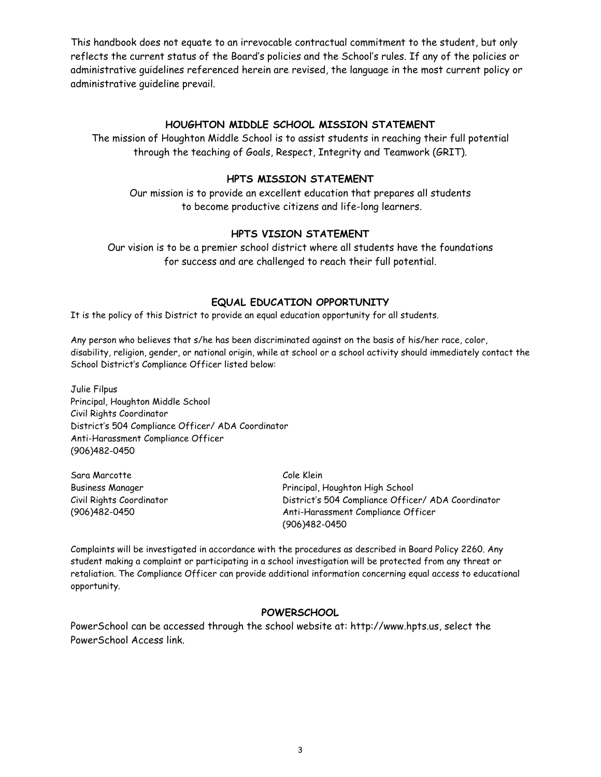This handbook does not equate to an irrevocable contractual commitment to the student, but only reflects the current status of the Board's policies and the School's rules. If any of the policies or administrative guidelines referenced herein are revised, the language in the most current policy or administrative guideline prevail.

#### **HOUGHTON MIDDLE SCHOOL MISSION STATEMENT**

The mission of Houghton Middle School is to assist students in reaching their full potential through the teaching of Goals, Respect, Integrity and Teamwork (GRIT).

#### **HPTS MISSION STATEMENT**

Our mission is to provide an excellent education that prepares all students to become productive citizens and life-long learners.

#### **HPTS VISION STATEMENT**

Our vision is to be a premier school district where all students have the foundations for success and are challenged to reach their full potential.

#### **EQUAL EDUCATION OPPORTUNITY**

It is the policy of this District to provide an equal education opportunity for all students.

Any person who believes that s/he has been discriminated against on the basis of his/her race, color, disability, religion, gender, or national origin, while at school or a school activity should immediately contact the School District's Compliance Officer listed below:

Julie Filpus Principal, Houghton Middle School Civil Rights Coordinator District's 504 Compliance Officer/ ADA Coordinator Anti-Harassment Compliance Officer (906)482-0450

Sara Marcotte Cole Klein

Business Manager Principal, Houghton High School Civil Rights Coordinator District's 504 Compliance Officer/ ADA Coordinator (906)482-0450 Anti-Harassment Compliance Officer (906)482-0450

Complaints will be investigated in accordance with the procedures as described in Board Policy 2260. Any student making a complaint or participating in a school investigation will be protected from any threat or retaliation. The Compliance Officer can provide additional information concerning equal access to educational opportunity.

## **POWERSCHOOL**

PowerSchool can be accessed through the school website at: http://www.hpts.us, select the PowerSchool Access link.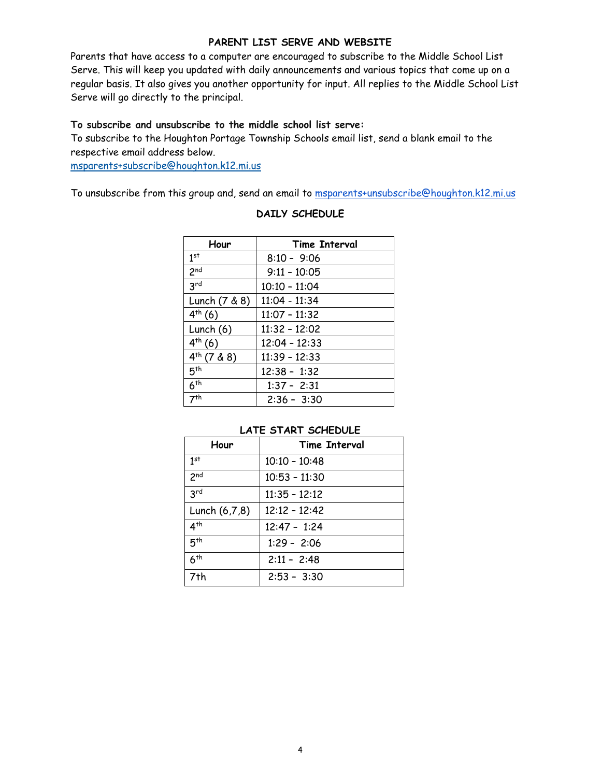#### **PARENT LIST SERVE AND WEBSITE**

Parents that have access to a computer are encouraged to subscribe to the Middle School List Serve. This will keep you updated with daily announcements and various topics that come up on a regular basis. It also gives you another opportunity for input. All replies to the Middle School List Serve will go directly to the principal.

#### **To subscribe and unsubscribe to the middle school list serve:**

To subscribe to the Houghton Portage Township Schools email list, send a blank email to the respective email address below.

msparents+subscribe@houghton.k12.mi.us

To unsubscribe from this group and, send an email to msparents+unsubscribe@houghton.k12.mi.us

| Hour            | <b>Time Interval</b> |
|-----------------|----------------------|
| 1 <sup>st</sup> | $8:10 - 9:06$        |
| 2 <sub>nd</sub> | $9:11 - 10:05$       |
| 3 <sup>rd</sup> | $10:10 - 11:04$      |
| Lunch (7 & 8)   | 11:04 - 11:34        |
| $4^{th} (6)$    | $11:07 - 11:32$      |
| Lunch (6)       | $11:32 - 12:02$      |
| $4^{th} (6)$    | $12:04 - 12:33$      |
| $4th$ (7 & 8)   | $11:39 - 12:33$      |
| 5 <sup>th</sup> | $12:38 - 1:32$       |
| 6 <sup>th</sup> | $1:37 - 2:31$        |
| 7 <sup>th</sup> | $2:36 - 3:30$        |

#### **DAILY SCHEDULE**

#### **LATE START SCHEDULE**

| Hour            | Time Interval   |
|-----------------|-----------------|
| 1st             | $10:10 - 10:48$ |
| 2 <sub>nd</sub> | $10:53 - 11:30$ |
| 3 <sup>rd</sup> | $11:35 - 12:12$ |
| Lunch (6,7,8)   | $12:12 - 12:42$ |
| 4 <sup>th</sup> | $12:47 - 1:24$  |
| 5 <sup>th</sup> | $1:29 - 2:06$   |
| 6 <sup>th</sup> | $2:11 - 2:48$   |
| 7th             | $2:53 - 3:30$   |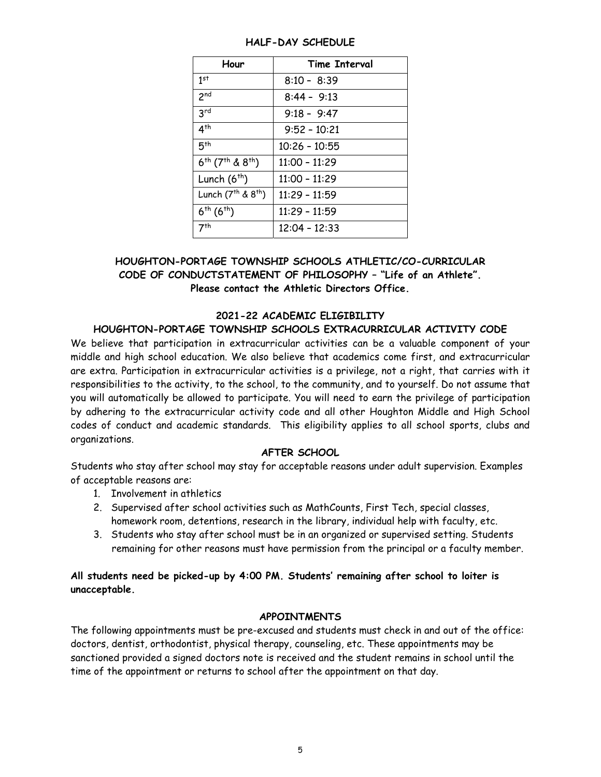| Hour                                          | <b>Time Interval</b> |
|-----------------------------------------------|----------------------|
| 1 <sup>st</sup>                               | $8:10 - 8:39$        |
| 2 <sub>nd</sub>                               | $8:44 - 9:13$        |
| 3 <sup>rd</sup>                               | $9:18 - 9:47$        |
| $4^{th}$                                      | $9:52 - 10:21$       |
| 5 <sup>th</sup>                               | $10:26 - 10:55$      |
| $6^{th}$ (7 <sup>th</sup> & 8 <sup>th</sup> ) | $11:00 - 11:29$      |
| Lunch $(6th)$                                 | $11:00 - 11:29$      |
| Lunch (7 <sup>th</sup> & 8 <sup>th</sup> )    | $11:29 - 11:59$      |
| $6^{th} (6^{th})$                             | 11:29 - 11:59        |
| 7 <sup>th</sup>                               | $12:04 - 12:33$      |

#### **HALF-DAY SCHEDULE**

## **HOUGHTON-PORTAGE TOWNSHIP SCHOOLS ATHLETIC/CO-CURRICULAR CODE OF CONDUCTSTATEMENT OF PHILOSOPHY – "Life of an Athlete". Please contact the Athletic Directors Office.**

#### **2021-22 ACADEMIC ELIGIBILITY**

#### **HOUGHTON-PORTAGE TOWNSHIP SCHOOLS EXTRACURRICULAR ACTIVITY CODE**

We believe that participation in extracurricular activities can be a valuable component of your middle and high school education. We also believe that academics come first, and extracurricular are extra. Participation in extracurricular activities is a privilege, not a right, that carries with it responsibilities to the activity, to the school, to the community, and to yourself. Do not assume that you will automatically be allowed to participate. You will need to earn the privilege of participation by adhering to the extracurricular activity code and all other Houghton Middle and High School codes of conduct and academic standards. This eligibility applies to all school sports, clubs and organizations.

## **AFTER SCHOOL**

Students who stay after school may stay for acceptable reasons under adult supervision. Examples of acceptable reasons are:

- 1. Involvement in athletics
- 2. Supervised after school activities such as MathCounts, First Tech, special classes, homework room, detentions, research in the library, individual help with faculty, etc.
- 3. Students who stay after school must be in an organized or supervised setting. Students remaining for other reasons must have permission from the principal or a faculty member.

## **All students need be picked-up by 4:00 PM. Students' remaining after school to loiter is unacceptable.**

#### **APPOINTMENTS**

The following appointments must be pre-excused and students must check in and out of the office: doctors, dentist, orthodontist, physical therapy, counseling, etc. These appointments may be sanctioned provided a signed doctors note is received and the student remains in school until the time of the appointment or returns to school after the appointment on that day.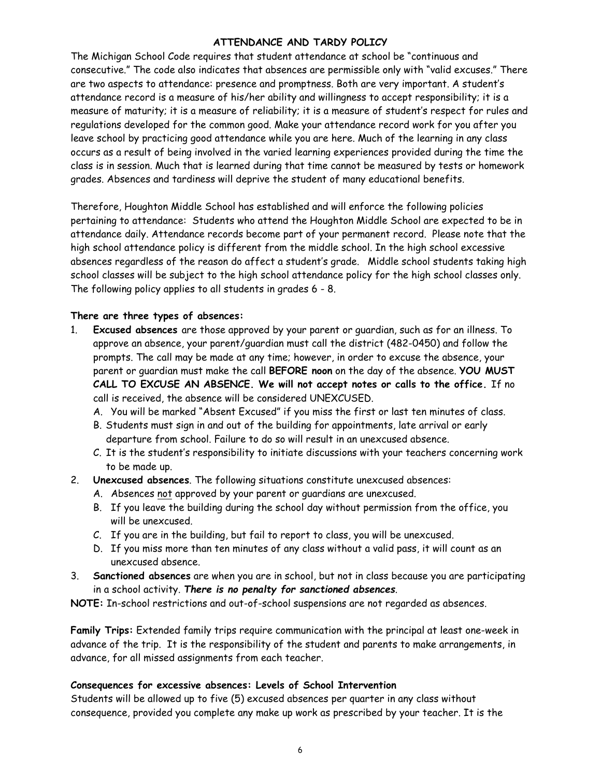## **ATTENDANCE AND TARDY POLICY**

The Michigan School Code requires that student attendance at school be "continuous and consecutive." The code also indicates that absences are permissible only with "valid excuses." There are two aspects to attendance: presence and promptness. Both are very important. A student's attendance record is a measure of his/her ability and willingness to accept responsibility; it is a measure of maturity; it is a measure of reliability; it is a measure of student's respect for rules and regulations developed for the common good. Make your attendance record work for you after you leave school by practicing good attendance while you are here. Much of the learning in any class occurs as a result of being involved in the varied learning experiences provided during the time the class is in session. Much that is learned during that time cannot be measured by tests or homework grades. Absences and tardiness will deprive the student of many educational benefits.

Therefore, Houghton Middle School has established and will enforce the following policies pertaining to attendance: Students who attend the Houghton Middle School are expected to be in attendance daily. Attendance records become part of your permanent record. Please note that the high school attendance policy is different from the middle school. In the high school excessive absences regardless of the reason do affect a student's grade.Middle school students taking high school classes will be subject to the high school attendance policy for the high school classes only. The following policy applies to all students in grades 6 - 8.

#### **There are three types of absences:**

- 1. **Excused absences** are those approved by your parent or guardian, such as for an illness. To approve an absence, your parent/guardian must call the district (482-0450) and follow the prompts. The call may be made at any time; however, in order to excuse the absence, your parent or guardian must make the call **BEFORE noon** on the day of the absence. **YOU MUST CALL TO EXCUSE AN ABSENCE. We will not accept notes or calls to the office.** If no call is received, the absence will be considered UNEXCUSED.
	- A. You will be marked "Absent Excused" if you miss the first or last ten minutes of class.
	- B. Students must sign in and out of the building for appointments, late arrival or early departure from school. Failure to do so will result in an unexcused absence.
	- C. It is the student's responsibility to initiate discussions with your teachers concerning work to be made up.
- 2. **Unexcused absences**. The following situations constitute unexcused absences:
	- A. Absences not approved by your parent or guardians are unexcused.
	- B. If you leave the building during the school day without permission from the office, you will be unexcused.
	- C. If you are in the building, but fail to report to class, you will be unexcused.
	- D. If you miss more than ten minutes of any class without a valid pass, it will count as an unexcused absence.
- 3. **Sanctioned absences** are when you are in school, but not in class because you are participating in a school activity. *There is no penalty for sanctioned absences*.

**NOTE:** In-school restrictions and out-of-school suspensions are not regarded as absences.

**Family Trips:** Extended family trips require communication with the principal at least one-week in advance of the trip. It is the responsibility of the student and parents to make arrangements, in advance, for all missed assignments from each teacher.

#### **Consequences for excessive absences: Levels of School Intervention**

Students will be allowed up to five (5) excused absences per quarter in any class without consequence, provided you complete any make up work as prescribed by your teacher. It is the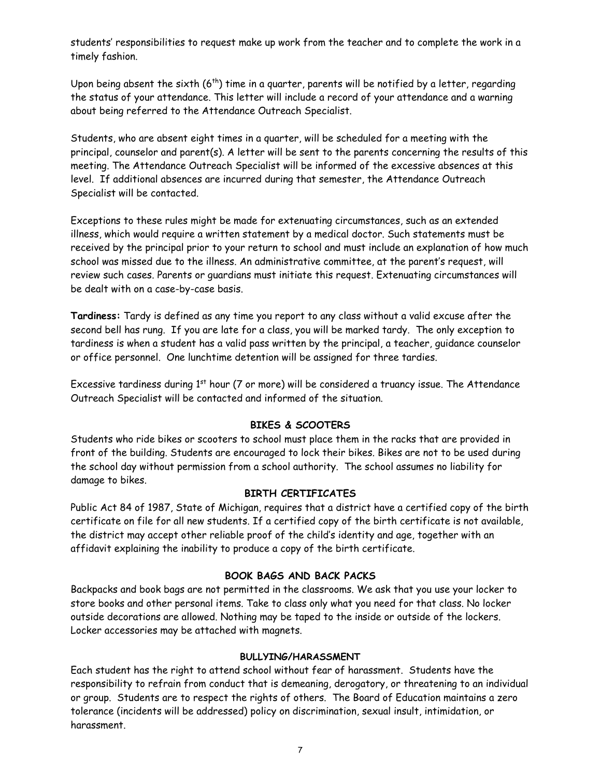students' responsibilities to request make up work from the teacher and to complete the work in a timely fashion.

Upon being absent the sixth  $(6<sup>th</sup>)$  time in a quarter, parents will be notified by a letter, regarding the status of your attendance. This letter will include a record of your attendance and a warning about being referred to the Attendance Outreach Specialist.

Students, who are absent eight times in a quarter, will be scheduled for a meeting with the principal, counselor and parent(s). A letter will be sent to the parents concerning the results of this meeting. The Attendance Outreach Specialist will be informed of the excessive absences at this level. If additional absences are incurred during that semester, the Attendance Outreach Specialist will be contacted.

Exceptions to these rules might be made for extenuating circumstances, such as an extended illness, which would require a written statement by a medical doctor. Such statements must be received by the principal prior to your return to school and must include an explanation of how much school was missed due to the illness. An administrative committee, at the parent's request, will review such cases. Parents or guardians must initiate this request. Extenuating circumstances will be dealt with on a case-by-case basis.

**Tardiness:** Tardy is defined as any time you report to any class without a valid excuse after the second bell has rung. If you are late for a class, you will be marked tardy. The only exception to tardiness is when a student has a valid pass written by the principal, a teacher, guidance counselor or office personnel. One lunchtime detention will be assigned for three tardies.

Excessive tardiness during 1<sup>st</sup> hour (7 or more) will be considered a truancy issue. The Attendance Outreach Specialist will be contacted and informed of the situation.

#### **BIKES & SCOOTERS**

Students who ride bikes or scooters to school must place them in the racks that are provided in front of the building. Students are encouraged to lock their bikes. Bikes are not to be used during the school day without permission from a school authority. The school assumes no liability for damage to bikes.

#### **BIRTH CERTIFICATES**

Public Act 84 of 1987, State of Michigan, requires that a district have a certified copy of the birth certificate on file for all new students. If a certified copy of the birth certificate is not available, the district may accept other reliable proof of the child's identity and age, together with an affidavit explaining the inability to produce a copy of the birth certificate.

#### **BOOK BAGS AND BACK PACKS**

Backpacks and book bags are not permitted in the classrooms. We ask that you use your locker to store books and other personal items. Take to class only what you need for that class. No locker outside decorations are allowed. Nothing may be taped to the inside or outside of the lockers. Locker accessories may be attached with magnets.

#### **BULLYING/HARASSMENT**

Each student has the right to attend school without fear of harassment. Students have the responsibility to refrain from conduct that is demeaning, derogatory, or threatening to an individual or group. Students are to respect the rights of others. The Board of Education maintains a zero tolerance (incidents will be addressed) policy on discrimination, sexual insult, intimidation, or harassment.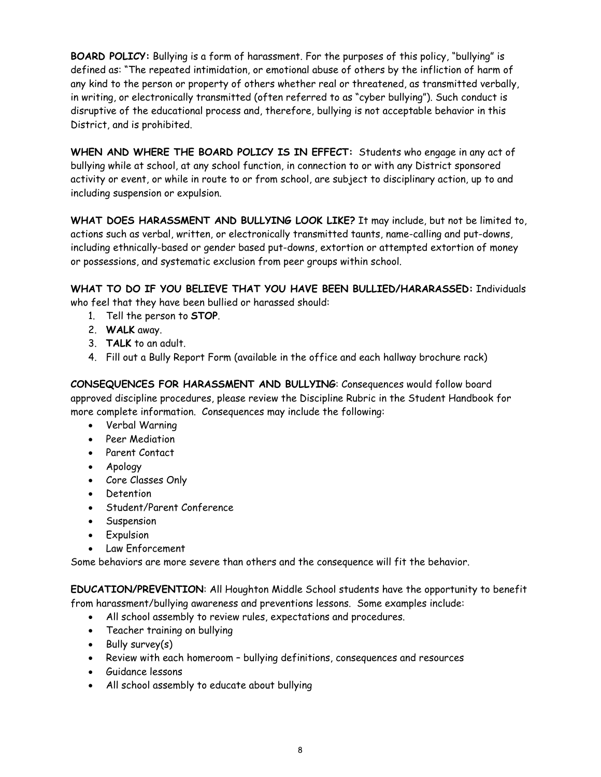**BOARD POLICY:** Bullying is a form of harassment. For the purposes of this policy, "bullying" is defined as: "The repeated intimidation, or emotional abuse of others by the infliction of harm of any kind to the person or property of others whether real or threatened, as transmitted verbally, in writing, or electronically transmitted (often referred to as "cyber bullying"). Such conduct is disruptive of the educational process and, therefore, bullying is not acceptable behavior in this District, and is prohibited.

**WHEN AND WHERE THE BOARD POLICY IS IN EFFECT:** Students who engage in any act of bullying while at school, at any school function, in connection to or with any District sponsored activity or event, or while in route to or from school, are subject to disciplinary action, up to and including suspension or expulsion.

**WHAT DOES HARASSMENT AND BULLYING LOOK LIKE?** It may include, but not be limited to, actions such as verbal, written, or electronically transmitted taunts, name-calling and put-downs, including ethnically-based or gender based put-downs, extortion or attempted extortion of money or possessions, and systematic exclusion from peer groups within school.

**WHAT TO DO IF YOU BELIEVE THAT YOU HAVE BEEN BULLIED/HARARASSED:** Individuals who feel that they have been bullied or harassed should:

- 1. Tell the person to **STOP**.
- 2. **WALK** away.
- 3. **TALK** to an adult.
- 4. Fill out a Bully Report Form (available in the office and each hallway brochure rack)

**CONSEQUENCES FOR HARASSMENT AND BULLYING**: Consequences would follow board approved discipline procedures, please review the Discipline Rubric in the Student Handbook for more complete information. Consequences may include the following:

- Verbal Warning
- Peer Mediation
- Parent Contact
- Apology
- Core Classes Only
- Detention
- Student/Parent Conference
- **•** Suspension
- **•** Expulsion
- Law Enforcement

Some behaviors are more severe than others and the consequence will fit the behavior.

**EDUCATION/PREVENTION**: All Houghton Middle School students have the opportunity to benefit from harassment/bullying awareness and preventions lessons. Some examples include:

- All school assembly to review rules, expectations and procedures.
- Teacher training on bullying
- $\bullet$  Bully survey(s)
- Review with each homeroom bullying definitions, consequences and resources
- Guidance lessons
- All school assembly to educate about bullying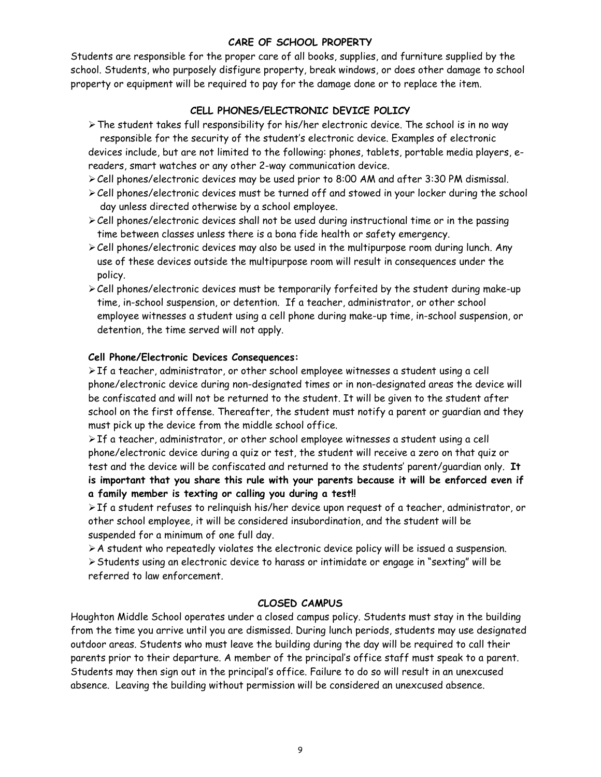#### **CARE OF SCHOOL PROPERTY**

Students are responsible for the proper care of all books, supplies, and furniture supplied by the school. Students, who purposely disfigure property, break windows, or does other damage to school property or equipment will be required to pay for the damage done or to replace the item.

## **CELL PHONES/ELECTRONIC DEVICE POLICY**

The student takes full responsibility for his/her electronic device. The school is in no way responsible for the security of the student's electronic device. Examples of electronic devices include, but are not limited to the following: phones, tablets, portable media players, ereaders, smart watches or any other 2-way communication device.

Cell phones/electronic devices may be used prior to 8:00 AM and after 3:30 PM dismissal.

- Cell phones/electronic devices must be turned off and stowed in your locker during the school day unless directed otherwise by a school employee.
- $\ge$  Cell phones/electronic devices shall not be used during instructional time or in the passing time between classes unless there is a bona fide health or safety emergency.
- $\geq$  Cell phones/electronic devices may also be used in the multipurpose room during lunch. Any use of these devices outside the multipurpose room will result in consequences under the policy.
- Cell phones/electronic devices must be temporarily forfeited by the student during make-up time, in-school suspension, or detention. If a teacher, administrator, or other school employee witnesses a student using a cell phone during make-up time, in-school suspension, or detention, the time served will not apply.

#### **Cell Phone/Electronic Devices Consequences:**

 $\triangleright$  If a teacher, administrator, or other school employee witnesses a student using a cell phone/electronic device during non-designated times or in non-designated areas the device will be confiscated and will not be returned to the student. It will be given to the student after school on the first offense. Thereafter, the student must notify a parent or guardian and they must pick up the device from the middle school office.

 $\triangleright$  If a teacher, administrator, or other school employee witnesses a student using a cell phone/electronic device during a quiz or test, the student will receive a zero on that quiz or test and the device will be confiscated and returned to the students' parent/guardian only. **It is important that you share this rule with your parents because it will be enforced even if a family member is texting or calling you during a test!!** 

 $\triangleright$  If a student refuses to relinquish his/her device upon request of a teacher, administrator, or other school employee, it will be considered insubordination, and the student will be suspended for a minimum of one full day.

 $\triangleright$  A student who repeatedly violates the electronic device policy will be issued a suspension. Students using an electronic device to harass or intimidate or engage in "sexting" will be referred to law enforcement.

#### **CLOSED CAMPUS**

Houghton Middle School operates under a closed campus policy. Students must stay in the building from the time you arrive until you are dismissed. During lunch periods, students may use designated outdoor areas. Students who must leave the building during the day will be required to call their parents prior to their departure. A member of the principal's office staff must speak to a parent. Students may then sign out in the principal's office. Failure to do so will result in an unexcused absence. Leaving the building without permission will be considered an unexcused absence.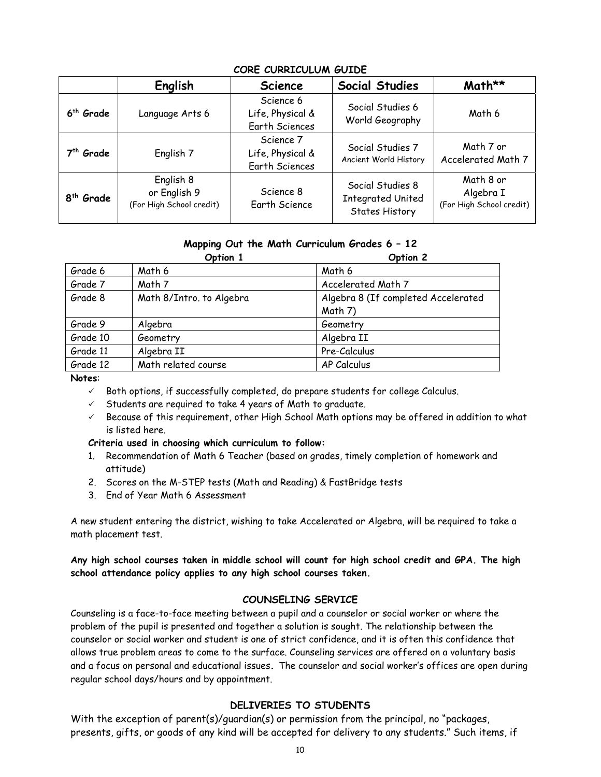|                       | English                                               | <b>Science</b>                                         | <b>Social Studies</b>                                                 | Math**                                             |
|-----------------------|-------------------------------------------------------|--------------------------------------------------------|-----------------------------------------------------------------------|----------------------------------------------------|
| 6 <sup>th</sup> Grade | Language Arts 6                                       | Science 6<br>Life, Physical &<br><b>Earth Sciences</b> | Social Studies 6<br>World Geography                                   | Math 6                                             |
| 7 <sup>th</sup> Grade | English 7                                             | Science 7<br>Life, Physical &<br><b>Earth Sciences</b> | Social Studies 7<br>Ancient World History                             | Math 7 or<br>Accelerated Math 7                    |
| 8 <sup>th</sup> Grade | English 8<br>or English 9<br>(For High School credit) | Science 8<br><b>Earth Science</b>                      | Social Studies 8<br><b>Integrated United</b><br><b>States History</b> | Math 8 or<br>Algebra I<br>(For High School credit) |

## **CORE CURRICULUM GUIDE**

#### **Mapping Out the Math Curriculum Grades 6 – 12**

|          | Option 1                 | Option 2                            |
|----------|--------------------------|-------------------------------------|
| Grade 6  | Math 6                   | Math 6                              |
| Grade 7  | Math 7                   | Accelerated Math 7                  |
| Grade 8  | Math 8/Intro. to Algebra | Algebra 8 (If completed Accelerated |
|          |                          | Math 7)                             |
| Grade 9  | Algebra                  | Geometry                            |
| Grade 10 | Geometry                 | Algebra II                          |
| Grade 11 | Algebra II               | Pre-Calculus                        |
| Grade 12 | Math related course      | AP Calculus                         |

#### **Notes**:

- $\checkmark$  Both options, if successfully completed, do prepare students for college Calculus.
- $\checkmark$  Students are required to take 4 years of Math to graduate.
- $\checkmark$  Because of this requirement, other High School Math options may be offered in addition to what is listed here.

#### **Criteria used in choosing which curriculum to follow:**

- 1. Recommendation of Math 6 Teacher (based on grades, timely completion of homework and attitude)
- 2. Scores on the M-STEP tests (Math and Reading) & FastBridge tests
- 3. End of Year Math 6 Assessment

A new student entering the district, wishing to take Accelerated or Algebra, will be required to take a math placement test.

**Any high school courses taken in middle school will count for high school credit and GPA. The high school attendance policy applies to any high school courses taken.** 

#### **COUNSELING SERVICE**

Counseling is a face-to-face meeting between a pupil and a counselor or social worker or where the problem of the pupil is presented and together a solution is sought. The relationship between the counselor or social worker and student is one of strict confidence, and it is often this confidence that allows true problem areas to come to the surface. Counseling services are offered on a voluntary basis and a focus on personal and educational issues**.** The counselor and social worker's offices are open during regular school days/hours and by appointment.

#### **DELIVERIES TO STUDENTS**

With the exception of parent(s)/quardian(s) or permission from the principal, no "packages, presents, gifts, or goods of any kind will be accepted for delivery to any students." Such items, if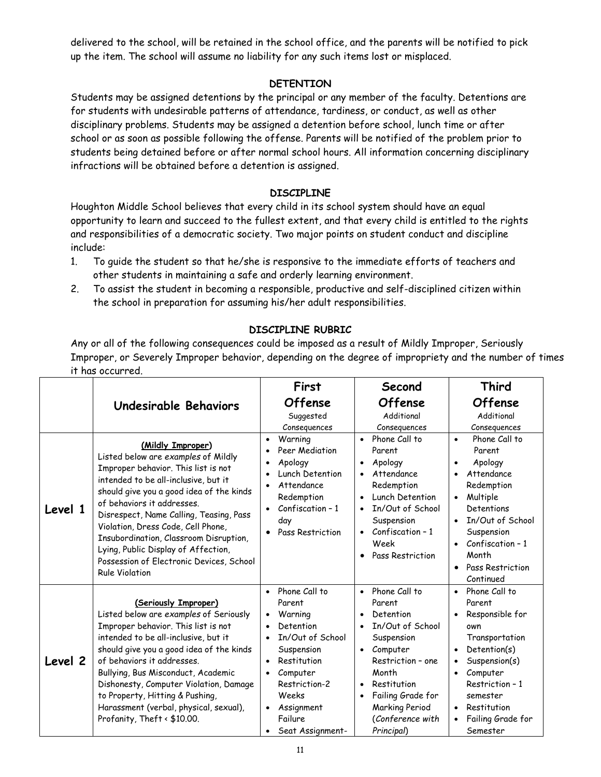delivered to the school, will be retained in the school office, and the parents will be notified to pick up the item. The school will assume no liability for any such items lost or misplaced.

## **DETENTION**

Students may be assigned detentions by the principal or any member of the faculty. Detentions are for students with undesirable patterns of attendance, tardiness, or conduct, as well as other disciplinary problems. Students may be assigned a detention before school, lunch time or after school or as soon as possible following the offense. Parents will be notified of the problem prior to students being detained before or after normal school hours. All information concerning disciplinary infractions will be obtained before a detention is assigned.

## **DISCIPLINE**

Houghton Middle School believes that every child in its school system should have an equal opportunity to learn and succeed to the fullest extent, and that every child is entitled to the rights and responsibilities of a democratic society. Two major points on student conduct and discipline include:

- 1. To guide the student so that he/she is responsive to the immediate efforts of teachers and other students in maintaining a safe and orderly learning environment.
- 2. To assist the student in becoming a responsible, productive and self-disciplined citizen within the school in preparation for assuming his/her adult responsibilities.

## **DISCIPLINE RUBRIC**

Any or all of the following consequences could be imposed as a result of Mildly Improper, Seriously Improper, or Severely Improper behavior, depending on the degree of impropriety and the number of times it has occurred.

|         |                                                                                                                                                                                                                                                                                                                                                                                                                                                          | First                                                                                                                                                                                                           | Second                                                                                                                                                                                                                                                                    | Third                                                                                                                                                                                                                                                                  |
|---------|----------------------------------------------------------------------------------------------------------------------------------------------------------------------------------------------------------------------------------------------------------------------------------------------------------------------------------------------------------------------------------------------------------------------------------------------------------|-----------------------------------------------------------------------------------------------------------------------------------------------------------------------------------------------------------------|---------------------------------------------------------------------------------------------------------------------------------------------------------------------------------------------------------------------------------------------------------------------------|------------------------------------------------------------------------------------------------------------------------------------------------------------------------------------------------------------------------------------------------------------------------|
|         | Undesirable Behaviors                                                                                                                                                                                                                                                                                                                                                                                                                                    | <b>Offense</b><br>Suggested<br>Consequences                                                                                                                                                                     | <b>Offense</b><br>Additional<br>Consequences                                                                                                                                                                                                                              | <b>Offense</b><br>Additional<br>Consequences                                                                                                                                                                                                                           |
| Level 1 | (Mildly Improper)<br>Listed below are examples of Mildly<br>Improper behavior. This list is not<br>intended to be all-inclusive, but it<br>should give you a good idea of the kinds<br>of behaviors it addresses.<br>Disrespect, Name Calling, Teasing, Pass<br>Violation, Dress Code, Cell Phone,<br>Insubordination, Classroom Disruption,<br>Lying, Public Display of Affection,<br>Possession of Electronic Devices, School<br><b>Rule Violation</b> | Warning<br>Peer Mediation<br>Apology<br>Lunch Detention<br>Attendance<br>Redemption<br>Confiscation - 1<br>$\bullet$<br>day<br>• Pass Restriction                                                               | Phone Call to<br>$\bullet$<br>Parent<br>Apology<br>$\bullet$<br>Attendance<br>$\bullet$<br>Redemption<br>Lunch Detention<br>$\bullet$<br>In/Out of School<br>$\bullet$<br>Suspension<br>Confiscation - 1<br>$\bullet$<br>Week<br>Pass Restriction<br>$\bullet$            | Phone Call to<br>$\bullet$<br>Parent<br>Apology<br>$\bullet$<br>Attendance<br>$\bullet$<br>Redemption<br>Multiple<br>$\bullet$<br>Detentions<br>In/Out of School<br>$\bullet$<br>Suspension<br>Confiscation – 1<br>Month<br>Pass Restriction<br>$\bullet$<br>Continued |
| Level 2 | (Seriously Improper)<br>Listed below are examples of Seriously<br>Improper behavior. This list is not<br>intended to be all-inclusive, but it<br>should give you a good idea of the kinds<br>of behaviors it addresses.<br>Bullying, Bus Misconduct, Academic<br>Dishonesty, Computer Violation, Damage<br>to Property, Hitting & Pushing,<br>Harassment (verbal, physical, sexual),<br>Profanity, Theft < \$10.00.                                      | • Phone Call to<br>Parent<br>Warning<br>$\bullet$<br>Detention<br>In/Out of School<br>Suspension<br>Restitution<br>Computer<br>$\bullet$<br>Restriction-2<br>Weeks<br>Assignment<br>Failure<br>Seat Assignment- | Phone Call to<br>$\bullet$<br>Parent<br>Detention<br>$\bullet$<br>In/Out of School<br>Suspension<br>Computer<br>$\bullet$<br>Restriction - one<br>Month<br>Restitution<br>$\bullet$<br>Failing Grade for<br>$\bullet$<br>Marking Period<br>(Conference with<br>Principal) | • Phone Call to<br>Parent<br>Responsible for<br>$\bullet$<br>own<br>Transportation<br>Detention(s)<br>Suspension(s)<br>Computer<br>$\bullet$<br>Restriction - 1<br>semester<br>Restitution<br>$\bullet$<br>Failing Grade for<br>Semester                               |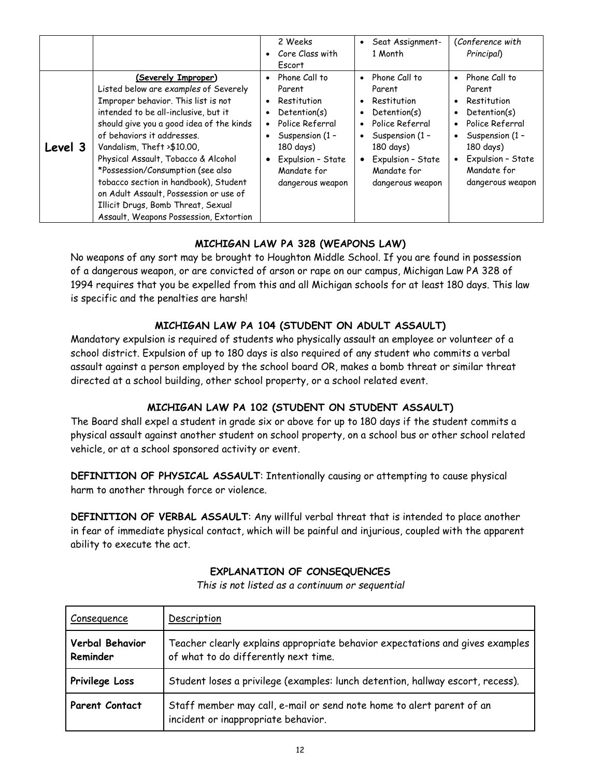|         |                                                                                                                                                                                                                                                                                                                                                                                                                                                                                                    |                        | 2 Weeks<br>Core Class with<br><b>Escort</b>                                                                                                                       |                        | Seat Assignment-<br>1 Month                                                                                                                                       |                                                               | (Conference with<br>Principal)                                                                                                                                    |
|---------|----------------------------------------------------------------------------------------------------------------------------------------------------------------------------------------------------------------------------------------------------------------------------------------------------------------------------------------------------------------------------------------------------------------------------------------------------------------------------------------------------|------------------------|-------------------------------------------------------------------------------------------------------------------------------------------------------------------|------------------------|-------------------------------------------------------------------------------------------------------------------------------------------------------------------|---------------------------------------------------------------|-------------------------------------------------------------------------------------------------------------------------------------------------------------------|
| Level 3 | (Severely Improper)<br>Listed below are examples of Severely<br>Improper behavior. This list is not<br>intended to be all-inclusive, but it<br>should give you a good idea of the kinds<br>of behaviors it addresses.<br>Vandalism, Theft >\$10.00,<br>Physical Assault, Tobacco & Alcohol<br>*Possession/Consumption (see also<br>tobacco section in handbook), Student<br>on Adult Assault, Possession or use of<br>Illicit Drugs, Bomb Threat, Sexual<br>Assault, Weapons Possession, Extortion | $\bullet$<br>$\bullet$ | Phone Call to<br>Parent<br>Restitution<br>Detention(s)<br>Police Referral<br>Suspension (1 -<br>180 days)<br>Expulsion - State<br>Mandate for<br>dangerous weapon | $\bullet$<br>$\bullet$ | Phone Call to<br>Parent<br>Restitution<br>Detention(s)<br>Police Referral<br>Suspension (1 -<br>180 days)<br>Expulsion - State<br>Mandate for<br>dangerous weapon | $\bullet$<br>$\bullet$<br>$\bullet$<br>$\bullet$<br>$\bullet$ | Phone Call to<br>Parent<br>Restitution<br>Detention(s)<br>Police Referral<br>Suspension (1 -<br>180 days)<br>Expulsion - State<br>Mandate for<br>dangerous weapon |

## **MICHIGAN LAW PA 328 (WEAPONS LAW)**

No weapons of any sort may be brought to Houghton Middle School. If you are found in possession of a dangerous weapon, or are convicted of arson or rape on our campus, Michigan Law PA 328 of 1994 requires that you be expelled from this and all Michigan schools for at least 180 days. This law is specific and the penalties are harsh!

## **MICHIGAN LAW PA 104 (STUDENT ON ADULT ASSAULT)**

Mandatory expulsion is required of students who physically assault an employee or volunteer of a school district. Expulsion of up to 180 days is also required of any student who commits a verbal assault against a person employed by the school board OR, makes a bomb threat or similar threat directed at a school building, other school property, or a school related event.

## **MICHIGAN LAW PA 102 (STUDENT ON STUDENT ASSAULT)**

The Board shall expel a student in grade six or above for up to 180 days if the student commits a physical assault against another student on school property, on a school bus or other school related vehicle, or at a school sponsored activity or event.

**DEFINITION OF PHYSICAL ASSAULT**: Intentionally causing or attempting to cause physical harm to another through force or violence.

**DEFINITION OF VERBAL ASSAULT**: Any willful verbal threat that is intended to place another in fear of immediate physical contact, which will be painful and injurious, coupled with the apparent ability to execute the act.

## **EXPLANATION OF CONSEQUENCES**

| <b>Consequence</b>          | Description                                                                                                           |
|-----------------------------|-----------------------------------------------------------------------------------------------------------------------|
| Verbal Behavior<br>Reminder | Teacher clearly explains appropriate behavior expectations and gives examples<br>of what to do differently next time. |
| Privilege Loss              | Student loses a privilege (examples: lunch detention, hallway escort, recess).                                        |
| <b>Parent Contact</b>       | Staff member may call, e-mail or send note home to alert parent of an<br>incident or inappropriate behavior.          |

*This is not listed as a continuum or sequential*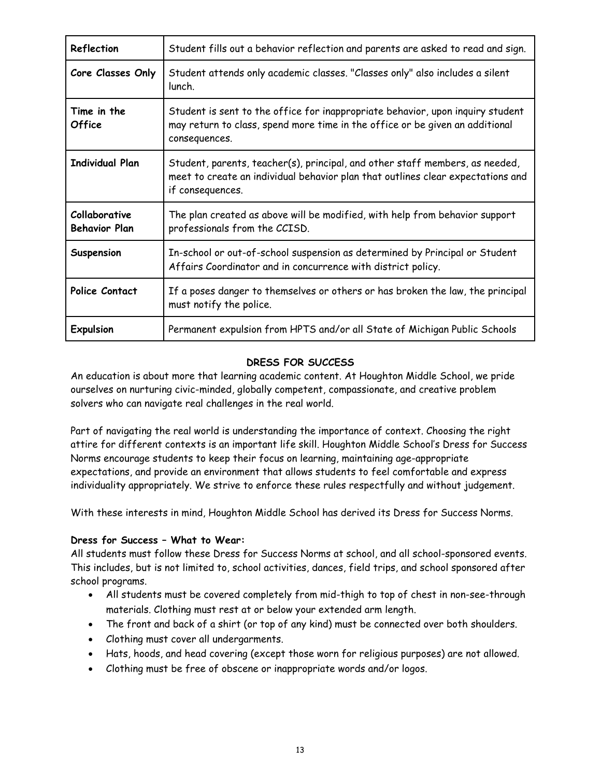| Reflection                            | Student fills out a behavior reflection and parents are asked to read and sign.                                                                                                     |
|---------------------------------------|-------------------------------------------------------------------------------------------------------------------------------------------------------------------------------------|
| Core Classes Only                     | Student attends only academic classes. "Classes only" also includes a silent<br>lunch.                                                                                              |
| Time in the<br><b>Office</b>          | Student is sent to the office for inappropriate behavior, upon inquiry student<br>may return to class, spend more time in the office or be given an additional<br>consequences.     |
| <b>Individual Plan</b>                | Student, parents, teacher(s), principal, and other staff members, as needed,<br>meet to create an individual behavior plan that outlines clear expectations and<br>if consequences. |
| Collaborative<br><b>Behavior Plan</b> | The plan created as above will be modified, with help from behavior support<br>professionals from the CCISD.                                                                        |
| Suspension                            | In-school or out-of-school suspension as determined by Principal or Student<br>Affairs Coordinator and in concurrence with district policy.                                         |
| Police Contact                        | If a poses danger to themselves or others or has broken the law, the principal<br>must notify the police.                                                                           |
| <b>Expulsion</b>                      | Permanent expulsion from HPTS and/or all State of Michigan Public Schools                                                                                                           |

## **DRESS FOR SUCCESS**

An education is about more that learning academic content. At Houghton Middle School, we pride ourselves on nurturing civic-minded, globally competent, compassionate, and creative problem solvers who can navigate real challenges in the real world.

Part of navigating the real world is understanding the importance of context. Choosing the right attire for different contexts is an important life skill. Houghton Middle School's Dress for Success Norms encourage students to keep their focus on learning, maintaining age-appropriate expectations, and provide an environment that allows students to feel comfortable and express individuality appropriately. We strive to enforce these rules respectfully and without judgement.

With these interests in mind, Houghton Middle School has derived its Dress for Success Norms.

#### **Dress for Success – What to Wear:**

All students must follow these Dress for Success Norms at school, and all school-sponsored events. This includes, but is not limited to, school activities, dances, field trips, and school sponsored after school programs.

- All students must be covered completely from mid-thigh to top of chest in non-see-through materials. Clothing must rest at or below your extended arm length.
- The front and back of a shirt (or top of any kind) must be connected over both shoulders.
- Clothing must cover all undergarments.
- Hats, hoods, and head covering (except those worn for religious purposes) are not allowed.
- Clothing must be free of obscene or inappropriate words and/or logos.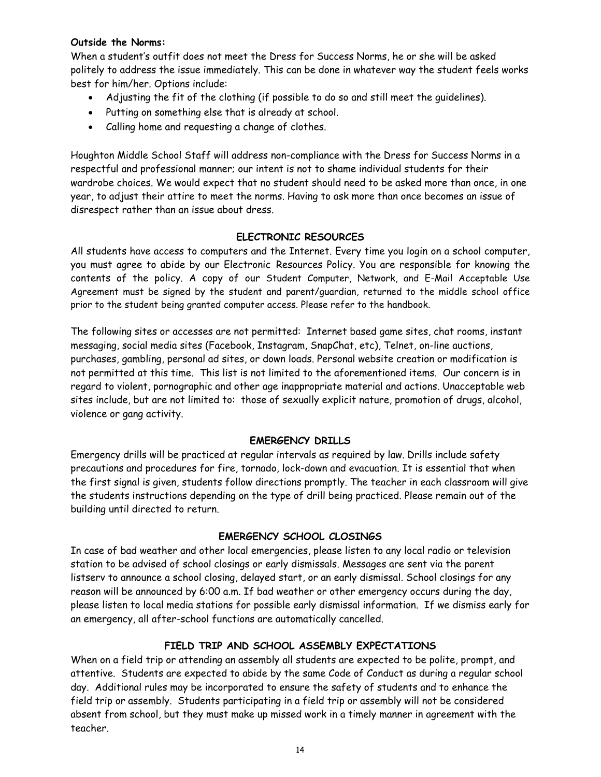#### **Outside the Norms:**

When a student's outfit does not meet the Dress for Success Norms, he or she will be asked politely to address the issue immediately. This can be done in whatever way the student feels works best for him/her. Options include:

- Adjusting the fit of the clothing (if possible to do so and still meet the guidelines).
- Putting on something else that is already at school.
- Calling home and requesting a change of clothes.

Houghton Middle School Staff will address non-compliance with the Dress for Success Norms in a respectful and professional manner; our intent is not to shame individual students for their wardrobe choices. We would expect that no student should need to be asked more than once, in one year, to adjust their attire to meet the norms. Having to ask more than once becomes an issue of disrespect rather than an issue about dress.

## **ELECTRONIC RESOURCES**

All students have access to computers and the Internet. Every time you login on a school computer, you must agree to abide by our Electronic Resources Policy. You are responsible for knowing the contents of the policy. A copy of our Student Computer, Network, and E-Mail Acceptable Use Agreement must be signed by the student and parent/guardian, returned to the middle school office prior to the student being granted computer access. Please refer to the handbook.

The following sites or accesses are not permitted: Internet based game sites, chat rooms, instant messaging, social media sites (Facebook, Instagram, SnapChat, etc), Telnet, on-line auctions, purchases, gambling, personal ad sites, or down loads. Personal website creation or modification is not permitted at this time. This list is not limited to the aforementioned items. Our concern is in regard to violent, pornographic and other age inappropriate material and actions. Unacceptable web sites include, but are not limited to: those of sexually explicit nature, promotion of drugs, alcohol, violence or gang activity.

## **EMERGENCY DRILLS**

Emergency drills will be practiced at regular intervals as required by law. Drills include safety precautions and procedures for fire, tornado, lock-down and evacuation. It is essential that when the first signal is given, students follow directions promptly. The teacher in each classroom will give the students instructions depending on the type of drill being practiced. Please remain out of the building until directed to return.

## **EMERGENCY SCHOOL CLOSINGS**

In case of bad weather and other local emergencies, please listen to any local radio or television station to be advised of school closings or early dismissals. Messages are sent via the parent listserv to announce a school closing, delayed start, or an early dismissal. School closings for any reason will be announced by 6:00 a.m. If bad weather or other emergency occurs during the day, please listen to local media stations for possible early dismissal information. If we dismiss early for an emergency, all after-school functions are automatically cancelled.

## **FIELD TRIP AND SCHOOL ASSEMBLY EXPECTATIONS**

When on a field trip or attending an assembly all students are expected to be polite, prompt, and attentive. Students are expected to abide by the same Code of Conduct as during a regular school day. Additional rules may be incorporated to ensure the safety of students and to enhance the field trip or assembly. Students participating in a field trip or assembly will not be considered absent from school, but they must make up missed work in a timely manner in agreement with the teacher.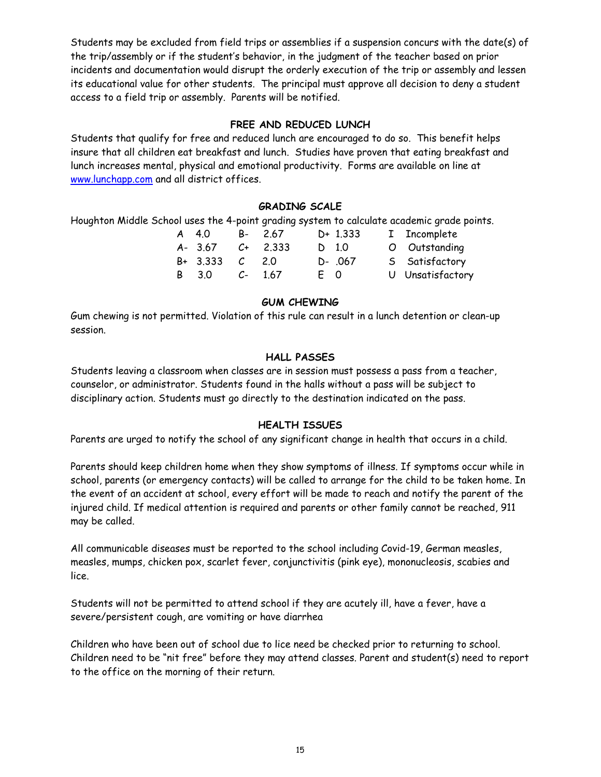Students may be excluded from field trips or assemblies if a suspension concurs with the date(s) of the trip/assembly or if the student's behavior, in the judgment of the teacher based on prior incidents and documentation would disrupt the orderly execution of the trip or assembly and lessen its educational value for other students. The principal must approve all decision to deny a student access to a field trip or assembly. Parents will be notified.

#### **FREE AND REDUCED LUNCH**

Students that qualify for free and reduced lunch are encouraged to do so. This benefit helps insure that all children eat breakfast and lunch. Studies have proven that eating breakfast and lunch increases mental, physical and emotional productivity. Forms are available on line at www.lunchapp.com and all district offices.

#### **GRADING SCALE**

Houghton Middle School uses the 4-point grading system to calculate academic grade points.

|  | A 40             | B- 2.67   |     | $D+ 1.333$ | I Incomplete     |
|--|------------------|-----------|-----|------------|------------------|
|  | A- 3.67          | $C+2.333$ |     | D 1.0      | O Outstanding    |
|  | $B+ 3.333 C 2.0$ |           |     | D- .067    | 5 Satisfactory   |
|  | B 3.0            | $C-1.67$  | E 0 |            | U Unsatisfactory |

## **GUM CHEWING**

Gum chewing is not permitted. Violation of this rule can result in a lunch detention or clean-up session.

## **HALL PASSES**

Students leaving a classroom when classes are in session must possess a pass from a teacher, counselor, or administrator. Students found in the halls without a pass will be subject to disciplinary action. Students must go directly to the destination indicated on the pass.

## **HEALTH ISSUES**

Parents are urged to notify the school of any significant change in health that occurs in a child.

Parents should keep children home when they show symptoms of illness. If symptoms occur while in school, parents (or emergency contacts) will be called to arrange for the child to be taken home. In the event of an accident at school, every effort will be made to reach and notify the parent of the injured child. If medical attention is required and parents or other family cannot be reached, 911 may be called.

All communicable diseases must be reported to the school including Covid-19, German measles, measles, mumps, chicken pox, scarlet fever, conjunctivitis (pink eye), mononucleosis, scabies and lice.

Students will not be permitted to attend school if they are acutely ill, have a fever, have a severe/persistent cough, are vomiting or have diarrhea

Children who have been out of school due to lice need be checked prior to returning to school. Children need to be "nit free" before they may attend classes. Parent and student(s) need to report to the office on the morning of their return.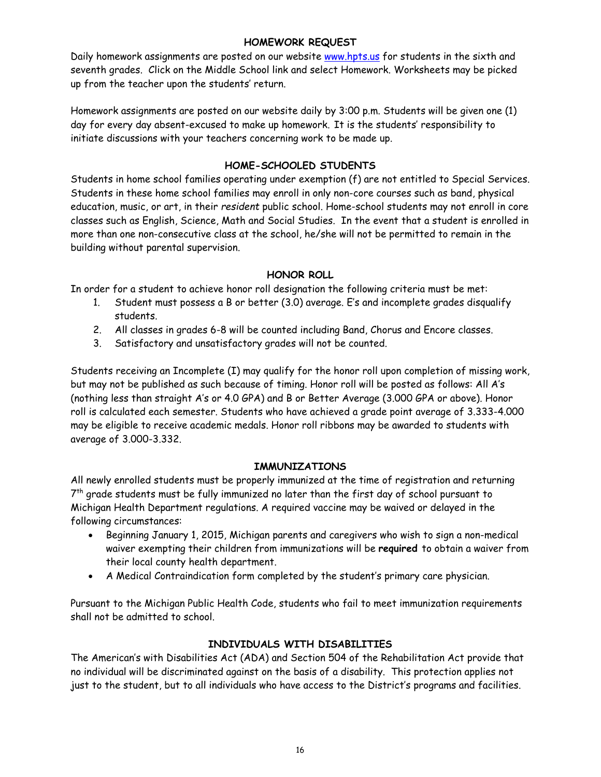#### **HOMEWORK REQUEST**

Daily homework assignments are posted on our website www.hpts.us for students in the sixth and seventh grades. Click on the Middle School link and select Homework. Worksheets may be picked up from the teacher upon the students' return.

Homework assignments are posted on our website daily by 3:00 p.m. Students will be given one (1) day for every day absent-excused to make up homework. It is the students' responsibility to initiate discussions with your teachers concerning work to be made up.

## **HOME-SCHOOLED STUDENTS**

Students in home school families operating under exemption (f) are not entitled to Special Services. Students in these home school families may enroll in only non-core courses such as band, physical education, music, or art, in their *resident* public school. Home-school students may not enroll in core classes such as English, Science, Math and Social Studies. In the event that a student is enrolled in more than one non-consecutive class at the school, he/she will not be permitted to remain in the building without parental supervision.

## **HONOR ROLL**

In order for a student to achieve honor roll designation the following criteria must be met:

- 1. Student must possess a B or better (3.0) average. E's and incomplete grades disqualify students.
- 2. All classes in grades 6-8 will be counted including Band, Chorus and Encore classes.
- 3. Satisfactory and unsatisfactory grades will not be counted.

Students receiving an Incomplete (I) may qualify for the honor roll upon completion of missing work, but may not be published as such because of timing. Honor roll will be posted as follows: All A's (nothing less than straight A's or 4.0 GPA) and B or Better Average (3.000 GPA or above). Honor roll is calculated each semester. Students who have achieved a grade point average of 3.333-4.000 may be eligible to receive academic medals. Honor roll ribbons may be awarded to students with average of 3.000-3.332.

## **IMMUNIZATIONS**

All newly enrolled students must be properly immunized at the time of registration and returning  $7<sup>th</sup>$  grade students must be fully immunized no later than the first day of school pursuant to Michigan Health Department regulations. A required vaccine may be waived or delayed in the following circumstances:

- Beginning January 1, 2015, Michigan parents and caregivers who wish to sign a non-medical waiver exempting their children from immunizations will be **required** to obtain a waiver from their local county health department.
- A Medical Contraindication form completed by the student's primary care physician.

Pursuant to the Michigan Public Health Code, students who fail to meet immunization requirements shall not be admitted to school.

## **INDIVIDUALS WITH DISABILITIES**

The American's with Disabilities Act (ADA) and Section 504 of the Rehabilitation Act provide that no individual will be discriminated against on the basis of a disability. This protection applies not just to the student, but to all individuals who have access to the District's programs and facilities.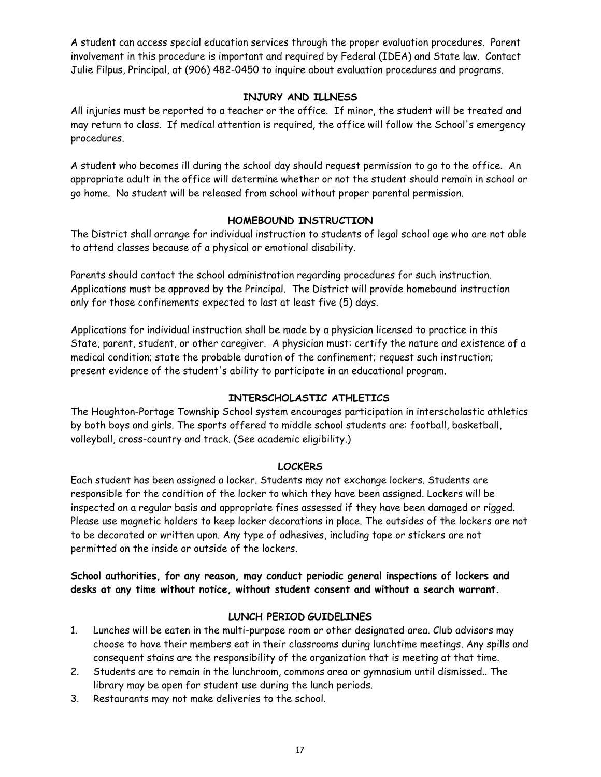A student can access special education services through the proper evaluation procedures. Parent involvement in this procedure is important and required by Federal (IDEA) and State law. Contact Julie Filpus, Principal, at (906) 482-0450 to inquire about evaluation procedures and programs.

## **INJURY AND ILLNESS**

All injuries must be reported to a teacher or the office. If minor, the student will be treated and may return to class. If medical attention is required, the office will follow the School's emergency procedures.

A student who becomes ill during the school day should request permission to go to the office. An appropriate adult in the office will determine whether or not the student should remain in school or go home. No student will be released from school without proper parental permission.

## **HOMEBOUND INSTRUCTION**

The District shall arrange for individual instruction to students of legal school age who are not able to attend classes because of a physical or emotional disability.

Parents should contact the school administration regarding procedures for such instruction. Applications must be approved by the Principal. The District will provide homebound instruction only for those confinements expected to last at least five (5) days.

Applications for individual instruction shall be made by a physician licensed to practice in this State, parent, student, or other caregiver. A physician must: certify the nature and existence of a medical condition; state the probable duration of the confinement; request such instruction; present evidence of the student's ability to participate in an educational program.

## **INTERSCHOLASTIC ATHLETICS**

The Houghton-Portage Township School system encourages participation in interscholastic athletics by both boys and girls. The sports offered to middle school students are: football, basketball, volleyball, cross-country and track. (See academic eligibility.)

## **LOCKERS**

Each student has been assigned a locker. Students may not exchange lockers. Students are responsible for the condition of the locker to which they have been assigned. Lockers will be inspected on a regular basis and appropriate fines assessed if they have been damaged or rigged. Please use magnetic holders to keep locker decorations in place. The outsides of the lockers are not to be decorated or written upon. Any type of adhesives, including tape or stickers are not permitted on the inside or outside of the lockers.

**School authorities, for any reason, may conduct periodic general inspections of lockers and desks at any time without notice, without student consent and without a search warrant.** 

## **LUNCH PERIOD GUIDELINES**

- 1. Lunches will be eaten in the multi-purpose room or other designated area. Club advisors may choose to have their members eat in their classrooms during lunchtime meetings. Any spills and consequent stains are the responsibility of the organization that is meeting at that time.
- 2. Students are to remain in the lunchroom, commons area or gymnasium until dismissed.. The library may be open for student use during the lunch periods.
- 3. Restaurants may not make deliveries to the school.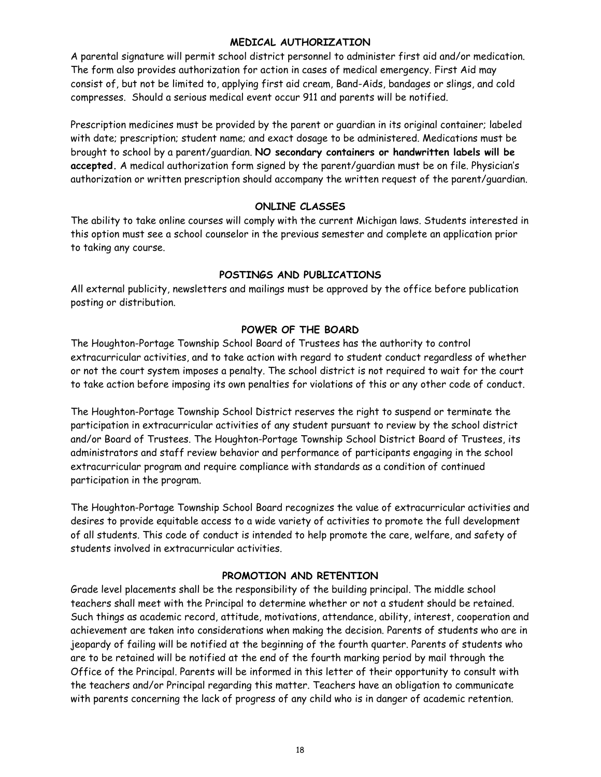#### **MEDICAL AUTHORIZATION**

A parental signature will permit school district personnel to administer first aid and/or medication. The form also provides authorization for action in cases of medical emergency. First Aid may consist of, but not be limited to, applying first aid cream, Band-Aids, bandages or slings, and cold compresses. Should a serious medical event occur 911 and parents will be notified.

Prescription medicines must be provided by the parent or guardian in its original container; labeled with date; prescription; student name; and exact dosage to be administered. Medications must be brought to school by a parent/guardian. **NO secondary containers or handwritten labels will be accepted.** A medical authorization form signed by the parent/guardian must be on file. Physician's authorization or written prescription should accompany the written request of the parent/guardian.

## **ONLINE CLASSES**

The ability to take online courses will comply with the current Michigan laws. Students interested in this option must see a school counselor in the previous semester and complete an application prior to taking any course.

#### **POSTINGS AND PUBLICATIONS**

All external publicity, newsletters and mailings must be approved by the office before publication posting or distribution.

## **POWER OF THE BOARD**

The Houghton-Portage Township School Board of Trustees has the authority to control extracurricular activities, and to take action with regard to student conduct regardless of whether or not the court system imposes a penalty. The school district is not required to wait for the court to take action before imposing its own penalties for violations of this or any other code of conduct.

The Houghton-Portage Township School District reserves the right to suspend or terminate the participation in extracurricular activities of any student pursuant to review by the school district and/or Board of Trustees. The Houghton-Portage Township School District Board of Trustees, its administrators and staff review behavior and performance of participants engaging in the school extracurricular program and require compliance with standards as a condition of continued participation in the program.

The Houghton-Portage Township School Board recognizes the value of extracurricular activities and desires to provide equitable access to a wide variety of activities to promote the full development of all students. This code of conduct is intended to help promote the care, welfare, and safety of students involved in extracurricular activities.

#### **PROMOTION AND RETENTION**

Grade level placements shall be the responsibility of the building principal. The middle school teachers shall meet with the Principal to determine whether or not a student should be retained. Such things as academic record, attitude, motivations, attendance, ability, interest, cooperation and achievement are taken into considerations when making the decision. Parents of students who are in jeopardy of failing will be notified at the beginning of the fourth quarter. Parents of students who are to be retained will be notified at the end of the fourth marking period by mail through the Office of the Principal. Parents will be informed in this letter of their opportunity to consult with the teachers and/or Principal regarding this matter. Teachers have an obligation to communicate with parents concerning the lack of progress of any child who is in danger of academic retention.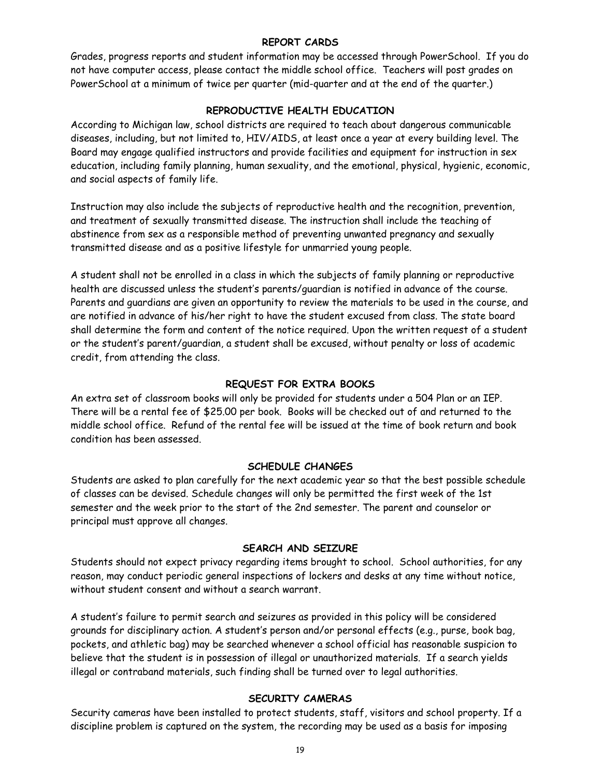#### **REPORT CARDS**

Grades, progress reports and student information may be accessed through PowerSchool. If you do not have computer access, please contact the middle school office. Teachers will post grades on PowerSchool at a minimum of twice per quarter (mid-quarter and at the end of the quarter.)

## **REPRODUCTIVE HEALTH EDUCATION**

According to Michigan law, school districts are required to teach about dangerous communicable diseases, including, but not limited to, HIV/AIDS, at least once a year at every building level. The Board may engage qualified instructors and provide facilities and equipment for instruction in sex education, including family planning, human sexuality, and the emotional, physical, hygienic, economic, and social aspects of family life.

Instruction may also include the subjects of reproductive health and the recognition, prevention, and treatment of sexually transmitted disease. The instruction shall include the teaching of abstinence from sex as a responsible method of preventing unwanted pregnancy and sexually transmitted disease and as a positive lifestyle for unmarried young people.

A student shall not be enrolled in a class in which the subjects of family planning or reproductive health are discussed unless the student's parents/guardian is notified in advance of the course. Parents and guardians are given an opportunity to review the materials to be used in the course, and are notified in advance of his/her right to have the student excused from class. The state board shall determine the form and content of the notice required. Upon the written request of a student or the student's parent/guardian, a student shall be excused, without penalty or loss of academic credit, from attending the class.

#### **REQUEST FOR EXTRA BOOKS**

An extra set of classroom books will only be provided for students under a 504 Plan or an IEP. There will be a rental fee of \$25.00 per book. Books will be checked out of and returned to the middle school office. Refund of the rental fee will be issued at the time of book return and book condition has been assessed.

#### **SCHEDULE CHANGES**

Students are asked to plan carefully for the next academic year so that the best possible schedule of classes can be devised. Schedule changes will only be permitted the first week of the 1st semester and the week prior to the start of the 2nd semester. The parent and counselor or principal must approve all changes.

#### **SEARCH AND SEIZURE**

Students should not expect privacy regarding items brought to school. School authorities, for any reason, may conduct periodic general inspections of lockers and desks at any time without notice, without student consent and without a search warrant.

A student's failure to permit search and seizures as provided in this policy will be considered grounds for disciplinary action. A student's person and/or personal effects (e.g., purse, book bag, pockets, and athletic bag) may be searched whenever a school official has reasonable suspicion to believe that the student is in possession of illegal or unauthorized materials. If a search yields illegal or contraband materials, such finding shall be turned over to legal authorities.

#### **SECURITY CAMERAS**

Security cameras have been installed to protect students, staff, visitors and school property. If a discipline problem is captured on the system, the recording may be used as a basis for imposing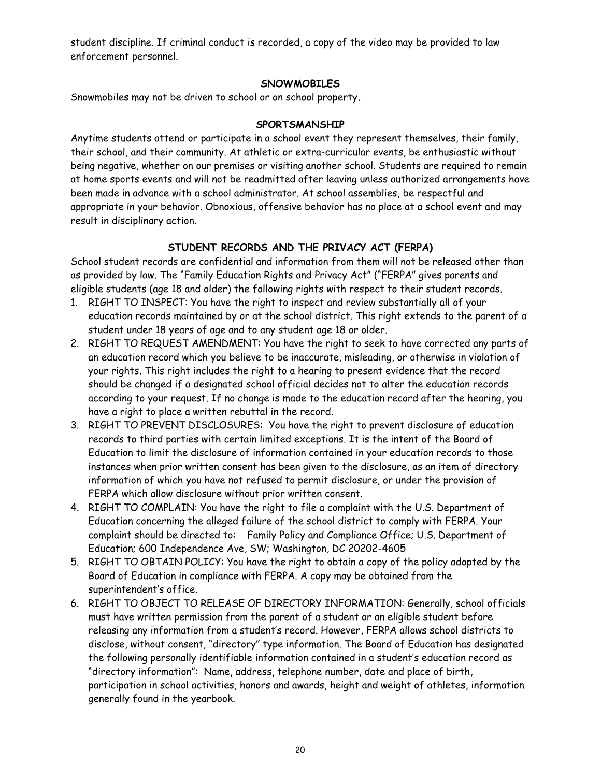student discipline. If criminal conduct is recorded, a copy of the video may be provided to law enforcement personnel.

## **SNOWMOBILES**

Snowmobiles may not be driven to school or on school property**.**

#### **SPORTSMANSHIP**

Anytime students attend or participate in a school event they represent themselves, their family, their school, and their community. At athletic or extra-curricular events, be enthusiastic without being negative, whether on our premises or visiting another school. Students are required to remain at home sports events and will not be readmitted after leaving unless authorized arrangements have been made in advance with a school administrator. At school assemblies, be respectful and appropriate in your behavior. Obnoxious, offensive behavior has no place at a school event and may result in disciplinary action.

## **STUDENT RECORDS AND THE PRIVACY ACT (FERPA)**

School student records are confidential and information from them will not be released other than as provided by law. The "Family Education Rights and Privacy Act" ("FERPA" gives parents and eligible students (age 18 and older) the following rights with respect to their student records.

- 1. RIGHT TO INSPECT: You have the right to inspect and review substantially all of your education records maintained by or at the school district. This right extends to the parent of a student under 18 years of age and to any student age 18 or older.
- 2. RIGHT TO REQUEST AMENDMENT: You have the right to seek to have corrected any parts of an education record which you believe to be inaccurate, misleading, or otherwise in violation of your rights. This right includes the right to a hearing to present evidence that the record should be changed if a designated school official decides not to alter the education records according to your request. If no change is made to the education record after the hearing, you have a right to place a written rebuttal in the record.
- 3. RIGHT TO PREVENT DISCLOSURES: You have the right to prevent disclosure of education records to third parties with certain limited exceptions. It is the intent of the Board of Education to limit the disclosure of information contained in your education records to those instances when prior written consent has been given to the disclosure, as an item of directory information of which you have not refused to permit disclosure, or under the provision of FERPA which allow disclosure without prior written consent.
- 4. RIGHT TO COMPLAIN: You have the right to file a complaint with the U.S. Department of Education concerning the alleged failure of the school district to comply with FERPA. Your complaint should be directed to: Family Policy and Compliance Office; U.S. Department of Education; 600 Independence Ave, SW; Washington, DC 20202-4605
- 5. RIGHT TO OBTAIN POLICY: You have the right to obtain a copy of the policy adopted by the Board of Education in compliance with FERPA. A copy may be obtained from the superintendent's office.
- 6. RIGHT TO OBJECT TO RELEASE OF DIRECTORY INFORMATION: Generally, school officials must have written permission from the parent of a student or an eligible student before releasing any information from a student's record. However, FERPA allows school districts to disclose, without consent, "directory" type information. The Board of Education has designated the following personally identifiable information contained in a student's education record as "directory information": Name, address, telephone number, date and place of birth, participation in school activities, honors and awards, height and weight of athletes, information generally found in the yearbook.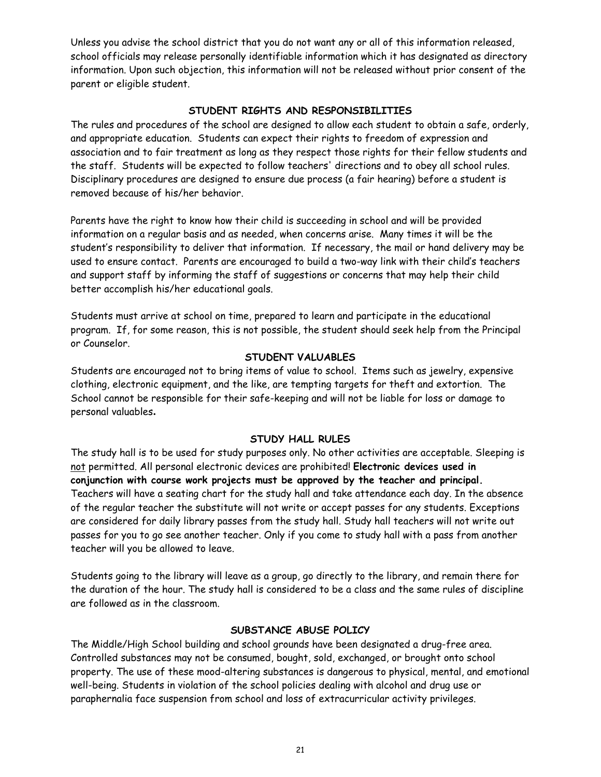Unless you advise the school district that you do not want any or all of this information released, school officials may release personally identifiable information which it has designated as directory information. Upon such objection, this information will not be released without prior consent of the parent or eligible student.

#### **STUDENT RIGHTS AND RESPONSIBILITIES**

The rules and procedures of the school are designed to allow each student to obtain a safe, orderly, and appropriate education. Students can expect their rights to freedom of expression and association and to fair treatment as long as they respect those rights for their fellow students and the staff. Students will be expected to follow teachers' directions and to obey all school rules. Disciplinary procedures are designed to ensure due process (a fair hearing) before a student is removed because of his/her behavior.

Parents have the right to know how their child is succeeding in school and will be provided information on a regular basis and as needed, when concerns arise. Many times it will be the student's responsibility to deliver that information. If necessary, the mail or hand delivery may be used to ensure contact. Parents are encouraged to build a two-way link with their child's teachers and support staff by informing the staff of suggestions or concerns that may help their child better accomplish his/her educational goals.

Students must arrive at school on time, prepared to learn and participate in the educational program. If, for some reason, this is not possible, the student should seek help from the Principal or Counselor.

#### **STUDENT VALUABLES**

Students are encouraged not to bring items of value to school. Items such as jewelry, expensive clothing, electronic equipment, and the like, are tempting targets for theft and extortion. The School cannot be responsible for their safe-keeping and will not be liable for loss or damage to personal valuables**.** 

#### **STUDY HALL RULES**

The study hall is to be used for study purposes only. No other activities are acceptable. Sleeping is not permitted. All personal electronic devices are prohibited! **Electronic devices used in conjunction with course work projects must be approved by the teacher and principal.** Teachers will have a seating chart for the study hall and take attendance each day. In the absence of the regular teacher the substitute will not write or accept passes for any students. Exceptions are considered for daily library passes from the study hall. Study hall teachers will not write out passes for you to go see another teacher. Only if you come to study hall with a pass from another teacher will you be allowed to leave.

Students going to the library will leave as a group, go directly to the library, and remain there for the duration of the hour. The study hall is considered to be a class and the same rules of discipline are followed as in the classroom.

#### **SUBSTANCE ABUSE POLICY**

The Middle/High School building and school grounds have been designated a drug-free area. Controlled substances may not be consumed, bought, sold, exchanged, or brought onto school property. The use of these mood-altering substances is dangerous to physical, mental, and emotional well-being. Students in violation of the school policies dealing with alcohol and drug use or paraphernalia face suspension from school and loss of extracurricular activity privileges.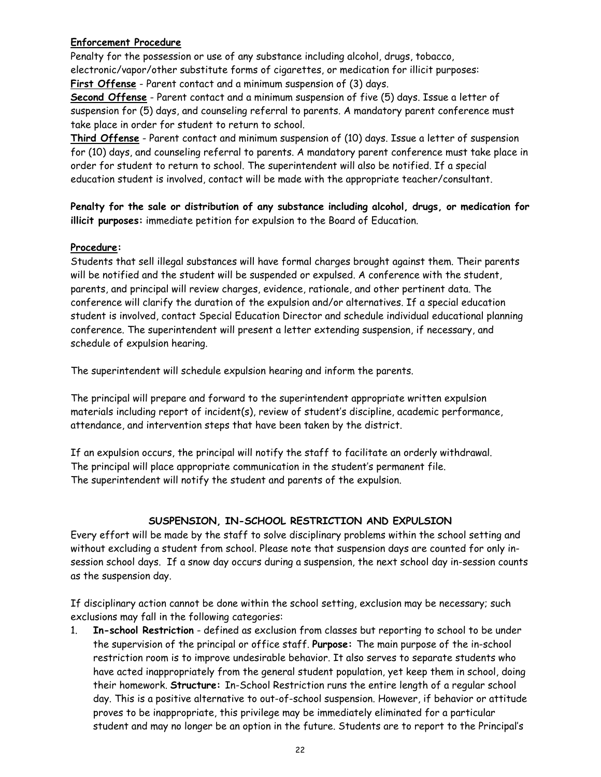## **Enforcement Procedure**

Penalty for the possession or use of any substance including alcohol, drugs, tobacco, electronic/vapor/other substitute forms of cigarettes, or medication for illicit purposes: **First Offense** - Parent contact and a minimum suspension of (3) days.

**Second Offense** - Parent contact and a minimum suspension of five (5) days. Issue a letter of suspension for (5) days, and counseling referral to parents. A mandatory parent conference must take place in order for student to return to school.

**Third Offense** - Parent contact and minimum suspension of (10) days. Issue a letter of suspension for (10) days, and counseling referral to parents. A mandatory parent conference must take place in order for student to return to school. The superintendent will also be notified. If a special education student is involved, contact will be made with the appropriate teacher/consultant.

**Penalty for the sale or distribution of any substance including alcohol, drugs, or medication for illicit purposes:** immediate petition for expulsion to the Board of Education.

#### **Procedure:**

Students that sell illegal substances will have formal charges brought against them. Their parents will be notified and the student will be suspended or expulsed. A conference with the student, parents, and principal will review charges, evidence, rationale, and other pertinent data. The conference will clarify the duration of the expulsion and/or alternatives. If a special education student is involved, contact Special Education Director and schedule individual educational planning conference. The superintendent will present a letter extending suspension, if necessary, and schedule of expulsion hearing.

The superintendent will schedule expulsion hearing and inform the parents.

The principal will prepare and forward to the superintendent appropriate written expulsion materials including report of incident(s), review of student's discipline, academic performance, attendance, and intervention steps that have been taken by the district.

If an expulsion occurs, the principal will notify the staff to facilitate an orderly withdrawal. The principal will place appropriate communication in the student's permanent file. The superintendent will notify the student and parents of the expulsion.

## **SUSPENSION, IN-SCHOOL RESTRICTION AND EXPULSION**

Every effort will be made by the staff to solve disciplinary problems within the school setting and without excluding a student from school. Please note that suspension days are counted for only insession school days. If a snow day occurs during a suspension, the next school day in-session counts as the suspension day.

If disciplinary action cannot be done within the school setting, exclusion may be necessary; such exclusions may fall in the following categories:

1. **In-school Restriction** - defined as exclusion from classes but reporting to school to be under the supervision of the principal or office staff. **Purpose:** The main purpose of the in-school restriction room is to improve undesirable behavior. It also serves to separate students who have acted inappropriately from the general student population, yet keep them in school, doing their homework. **Structure:** In-School Restriction runs the entire length of a regular school day. This is a positive alternative to out-of-school suspension. However, if behavior or attitude proves to be inappropriate, this privilege may be immediately eliminated for a particular student and may no longer be an option in the future. Students are to report to the Principal's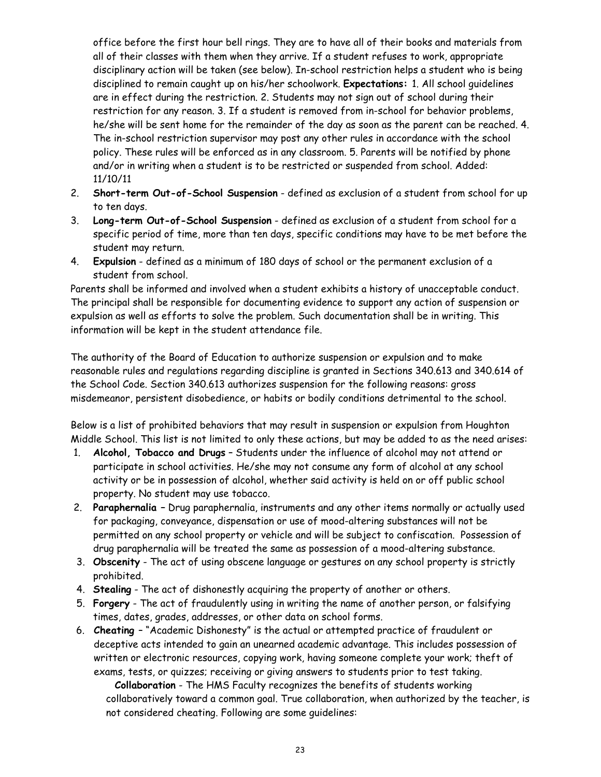office before the first hour bell rings. They are to have all of their books and materials from all of their classes with them when they arrive. If a student refuses to work, appropriate disciplinary action will be taken (see below). In-school restriction helps a student who is being disciplined to remain caught up on his/her schoolwork. **Expectations:** 1. All school guidelines are in effect during the restriction. 2. Students may not sign out of school during their restriction for any reason. 3. If a student is removed from in-school for behavior problems, he/she will be sent home for the remainder of the day as soon as the parent can be reached. 4. The in-school restriction supervisor may post any other rules in accordance with the school policy. These rules will be enforced as in any classroom. 5. Parents will be notified by phone and/or in writing when a student is to be restricted or suspended from school. Added: 11/10/11

- 2. **Short-term Out-of-School Suspension** defined as exclusion of a student from school for up to ten days.
- 3. **Long-term Out-of-School Suspension** defined as exclusion of a student from school for a specific period of time, more than ten days, specific conditions may have to be met before the student may return.
- 4. **Expulsion** defined as a minimum of 180 days of school or the permanent exclusion of a student from school.

Parents shall be informed and involved when a student exhibits a history of unacceptable conduct. The principal shall be responsible for documenting evidence to support any action of suspension or expulsion as well as efforts to solve the problem. Such documentation shall be in writing. This information will be kept in the student attendance file.

The authority of the Board of Education to authorize suspension or expulsion and to make reasonable rules and regulations regarding discipline is granted in Sections 340.613 and 340.614 of the School Code. Section 340.613 authorizes suspension for the following reasons: gross misdemeanor, persistent disobedience, or habits or bodily conditions detrimental to the school.

Below is a list of prohibited behaviors that may result in suspension or expulsion from Houghton Middle School. This list is not limited to only these actions, but may be added to as the need arises:

- 1. **Alcohol, Tobacco and Drugs** Students under the influence of alcohol may not attend or participate in school activities. He/she may not consume any form of alcohol at any school activity or be in possession of alcohol, whether said activity is held on or off public school property. No student may use tobacco.
- 2. **Paraphernalia –** Drug paraphernalia, instruments and any other items normally or actually used for packaging, conveyance, dispensation or use of mood-altering substances will not be permitted on any school property or vehicle and will be subject to confiscation. Possession of drug paraphernalia will be treated the same as possession of a mood-altering substance.
- 3. **Obscenity** The act of using obscene language or gestures on any school property is strictly prohibited.
- 4. **Stealing** The act of dishonestly acquiring the property of another or others.
- 5. **Forgery** The act of fraudulently using in writing the name of another person, or falsifying times, dates, grades, addresses, or other data on school forms.
- 6. **Cheating**  "Academic Dishonesty" is the actual or attempted practice of fraudulent or deceptive acts intended to gain an unearned academic advantage. This includes possession of written or electronic resources, copying work, having someone complete your work; theft of exams, tests, or quizzes; receiving or giving answers to students prior to test taking.

 **Collaboration** - The HMS Faculty recognizes the benefits of students working collaboratively toward a common goal. True collaboration, when authorized by the teacher, is not considered cheating. Following are some guidelines: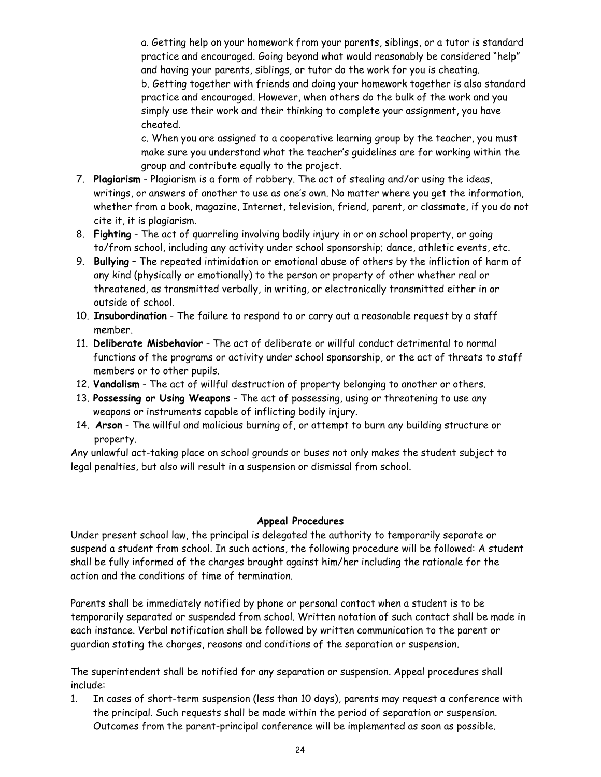a. Getting help on your homework from your parents, siblings, or a tutor is standard practice and encouraged. Going beyond what would reasonably be considered "help" and having your parents, siblings, or tutor do the work for you is cheating. b. Getting together with friends and doing your homework together is also standard practice and encouraged. However, when others do the bulk of the work and you simply use their work and their thinking to complete your assignment, you have cheated.

c. When you are assigned to a cooperative learning group by the teacher, you must make sure you understand what the teacher's guidelines are for working within the group and contribute equally to the project.

- 7. **Plagiarism** Plagiarism is a form of robbery. The act of stealing and/or using the ideas, writings, or answers of another to use as one's own. No matter where you get the information, whether from a book, magazine, Internet, television, friend, parent, or classmate, if you do not cite it, it is plagiarism.
- 8. **Fighting** The act of quarreling involving bodily injury in or on school property, or going to/from school, including any activity under school sponsorship; dance, athletic events, etc.
- 9. **Bullying** The repeated intimidation or emotional abuse of others by the infliction of harm of any kind (physically or emotionally) to the person or property of other whether real or threatened, as transmitted verbally, in writing, or electronically transmitted either in or outside of school.
- 10. **Insubordination** The failure to respond to or carry out a reasonable request by a staff member.
- 11. **Deliberate Misbehavior** The act of deliberate or willful conduct detrimental to normal functions of the programs or activity under school sponsorship, or the act of threats to staff members or to other pupils.
- 12. **Vandalism** The act of willful destruction of property belonging to another or others.
- 13. **Possessing or Using Weapons** The act of possessing, using or threatening to use any weapons or instruments capable of inflicting bodily injury.
- 14. **Arson** The willful and malicious burning of, or attempt to burn any building structure or property.

Any unlawful act-taking place on school grounds or buses not only makes the student subject to legal penalties, but also will result in a suspension or dismissal from school.

#### **Appeal Procedures**

Under present school law, the principal is delegated the authority to temporarily separate or suspend a student from school. In such actions, the following procedure will be followed: A student shall be fully informed of the charges brought against him/her including the rationale for the action and the conditions of time of termination.

Parents shall be immediately notified by phone or personal contact when a student is to be temporarily separated or suspended from school. Written notation of such contact shall be made in each instance. Verbal notification shall be followed by written communication to the parent or guardian stating the charges, reasons and conditions of the separation or suspension.

The superintendent shall be notified for any separation or suspension. Appeal procedures shall include:

1. In cases of short-term suspension (less than 10 days), parents may request a conference with the principal. Such requests shall be made within the period of separation or suspension. Outcomes from the parent-principal conference will be implemented as soon as possible.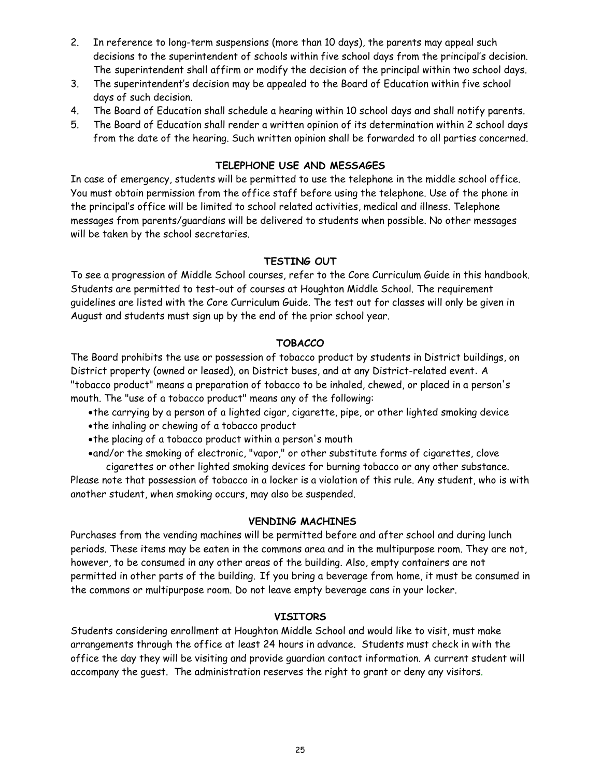- 2. In reference to long-term suspensions (more than 10 days), the parents may appeal such decisions to the superintendent of schools within five school days from the principal's decision. The superintendent shall affirm or modify the decision of the principal within two school days.
- 3. The superintendent's decision may be appealed to the Board of Education within five school days of such decision.
- 4. The Board of Education shall schedule a hearing within 10 school days and shall notify parents.
- 5. The Board of Education shall render a written opinion of its determination within 2 school days from the date of the hearing. Such written opinion shall be forwarded to all parties concerned.

## **TELEPHONE USE AND MESSAGES**

In case of emergency, students will be permitted to use the telephone in the middle school office. You must obtain permission from the office staff before using the telephone. Use of the phone in the principal's office will be limited to school related activities, medical and illness. Telephone messages from parents/guardians will be delivered to students when possible. No other messages will be taken by the school secretaries.

## **TESTING OUT**

To see a progression of Middle School courses, refer to the Core Curriculum Guide in this handbook. Students are permitted to test-out of courses at Houghton Middle School. The requirement guidelines are listed with the Core Curriculum Guide. The test out for classes will only be given in August and students must sign up by the end of the prior school year.

## **TOBACCO**

The Board prohibits the use or possession of tobacco product by students in District buildings, on District property (owned or leased), on District buses, and at any District-related event. A "tobacco product" means a preparation of tobacco to be inhaled, chewed, or placed in a person's mouth. The "use of a tobacco product" means any of the following:

- the carrying by a person of a lighted cigar, cigarette, pipe, or other lighted smoking device
- the inhaling or chewing of a tobacco product
- the placing of a tobacco product within a person's mouth

and/or the smoking of electronic, "vapor," or other substitute forms of cigarettes, clove cigarettes or other lighted smoking devices for burning tobacco or any other substance.

Please note that possession of tobacco in a locker is a violation of this rule. Any student, who is with another student, when smoking occurs, may also be suspended.

## **VENDING MACHINES**

Purchases from the vending machines will be permitted before and after school and during lunch periods. These items may be eaten in the commons area and in the multipurpose room. They are not, however, to be consumed in any other areas of the building. Also, empty containers are not permitted in other parts of the building. If you bring a beverage from home, it must be consumed in the commons or multipurpose room. Do not leave empty beverage cans in your locker.

## **VISITORS**

Students considering enrollment at Houghton Middle School and would like to visit, must make arrangements through the office at least 24 hours in advance. Students must check in with the office the day they will be visiting and provide guardian contact information. A current student will accompany the guest. The administration reserves the right to grant or deny any visitors.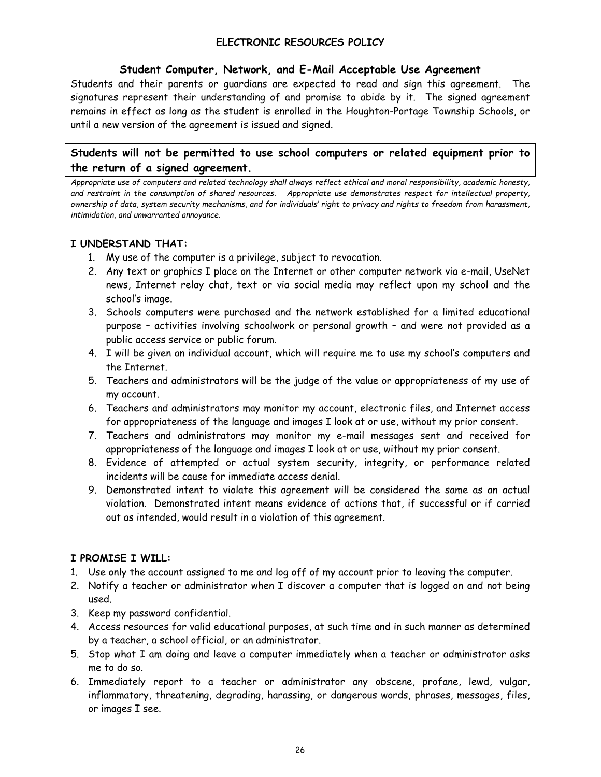## **ELECTRONIC RESOURCES POLICY**

#### **Student Computer, Network, and E-Mail Acceptable Use Agreement**

Students and their parents or guardians are expected to read and sign this agreement. The signatures represent their understanding of and promise to abide by it. The signed agreement remains in effect as long as the student is enrolled in the Houghton-Portage Township Schools, or until a new version of the agreement is issued and signed.

## **Students will not be permitted to use school computers or related equipment prior to the return of a signed agreement.**

*Appropriate use of computers and related technology shall always reflect ethical and moral responsibility, academic honesty, and restraint in the consumption of shared resources. Appropriate use demonstrates respect for intellectual property, ownership of data, system security mechanisms, and for individuals' right to privacy and rights to freedom from harassment, intimidation, and unwarranted annoyance.* 

#### **I UNDERSTAND THAT:**

- 1. My use of the computer is a privilege, subject to revocation.
- 2. Any text or graphics I place on the Internet or other computer network via e-mail, UseNet news, Internet relay chat, text or via social media may reflect upon my school and the school's image.
- 3. Schools computers were purchased and the network established for a limited educational purpose – activities involving schoolwork or personal growth – and were not provided as a public access service or public forum.
- 4. I will be given an individual account, which will require me to use my school's computers and the Internet.
- 5. Teachers and administrators will be the judge of the value or appropriateness of my use of my account.
- 6. Teachers and administrators may monitor my account, electronic files, and Internet access for appropriateness of the language and images I look at or use, without my prior consent.
- 7. Teachers and administrators may monitor my e-mail messages sent and received for appropriateness of the language and images I look at or use, without my prior consent.
- 8. Evidence of attempted or actual system security, integrity, or performance related incidents will be cause for immediate access denial.
- 9. Demonstrated intent to violate this agreement will be considered the same as an actual violation. Demonstrated intent means evidence of actions that, if successful or if carried out as intended, would result in a violation of this agreement.

## **I PROMISE I WILL:**

- 1. Use only the account assigned to me and log off of my account prior to leaving the computer.
- 2. Notify a teacher or administrator when I discover a computer that is logged on and not being used.
- 3. Keep my password confidential.
- 4. Access resources for valid educational purposes, at such time and in such manner as determined by a teacher, a school official, or an administrator.
- 5. Stop what I am doing and leave a computer immediately when a teacher or administrator asks me to do so.
- 6. Immediately report to a teacher or administrator any obscene, profane, lewd, vulgar, inflammatory, threatening, degrading, harassing, or dangerous words, phrases, messages, files, or images I see.